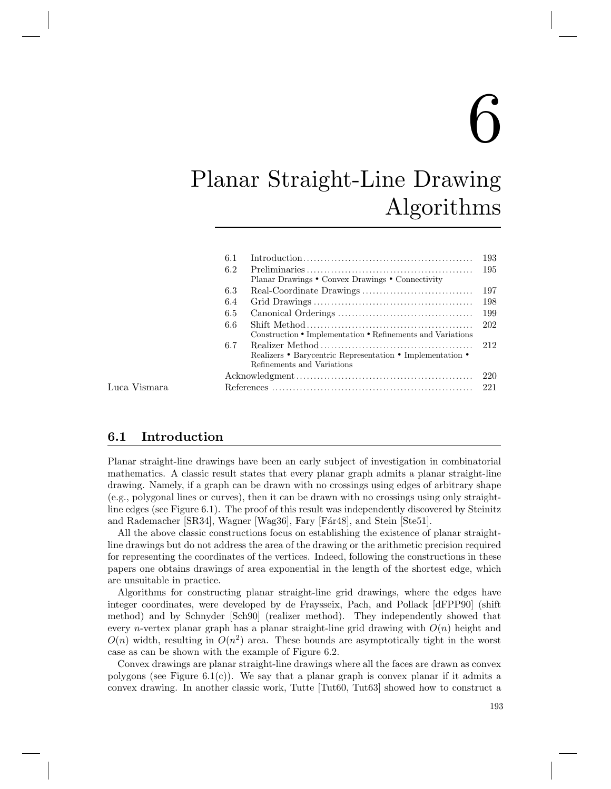# $\sum_{i=1}^{n}$

## Planar Straight-Line Drawing Algorithms

| 6.1 |                                                            |
|-----|------------------------------------------------------------|
| 6.2 |                                                            |
|     | Planar Drawings • Convex Drawings • Connectivity           |
| 6.3 |                                                            |
| 6.4 |                                                            |
| 6.5 |                                                            |
| 6.6 |                                                            |
|     | Construction • Implementation • Refinements and Variations |
| 6.7 |                                                            |
|     | Realizers • Barycentric Representation • Implementation •  |
|     | Refinements and Variations                                 |
|     |                                                            |
|     |                                                            |

Luca Vismara

#### 6.1 Introduction

Planar straight-line drawings have been an early subject of investigation in combinatorial mathematics. A classic result states that every planar graph admits a planar straight-line drawing. Namely, if a graph can be drawn with no crossings using edges of arbitrary shape (e.g., polygonal lines or curves), then it can be drawn with no crossings using only straightline edges (see Figure 6.1). The proof of this result was independently discovered by Steinitz and Rademacher [SR34], Wagner [Wag36], Fary [Fár48], and Stein [Ste51].

All the above classic constructions focus on establishing the existence of planar straightline drawings but do not address the area of the drawing or the arithmetic precision required for representing the coordinates of the vertices. Indeed, following the constructions in these papers one obtains drawings of area exponential in the length of the shortest edge, which are unsuitable in practice.

Algorithms for constructing planar straight-line grid drawings, where the edges have integer coordinates, were developed by de Fraysseix, Pach, and Pollack [dFPP90] (shift method) and by Schnyder [Sch90] (realizer method). They independently showed that every *n*-vertex planar graph has a planar straight-line grid drawing with  $O(n)$  height and  $O(n)$  width, resulting in  $O(n^2)$  area. These bounds are asymptotically tight in the worst case as can be shown with the example of Figure 6.2.

Convex drawings are planar straight-line drawings where all the faces are drawn as convex polygons (see Figure 6.1(c)). We say that a planar graph is convex planar if it admits a convex drawing. In another classic work, Tutte [Tut60, Tut63] showed how to construct a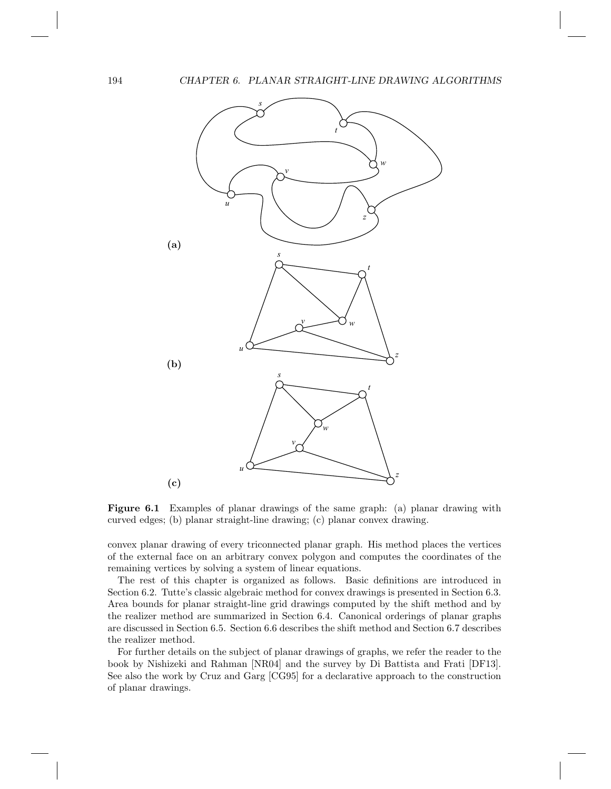

Figure 6.1 Examples of planar drawings of the same graph: (a) planar drawing with curved edges; (b) planar straight-line drawing; (c) planar convex drawing.

convex planar drawing of every triconnected planar graph. His method places the vertices of the external face on an arbitrary convex polygon and computes the coordinates of the remaining vertices by solving a system of linear equations.

The rest of this chapter is organized as follows. Basic definitions are introduced in Section 6.2. Tutte's classic algebraic method for convex drawings is presented in Section 6.3. Area bounds for planar straight-line grid drawings computed by the shift method and by the realizer method are summarized in Section 6.4. Canonical orderings of planar graphs are discussed in Section 6.5. Section 6.6 describes the shift method and Section 6.7 describes the realizer method.

For further details on the subject of planar drawings of graphs, we refer the reader to the book by Nishizeki and Rahman [NR04] and the survey by Di Battista and Frati [DF13]. See also the work by Cruz and Garg [CG95] for a declarative approach to the construction of planar drawings.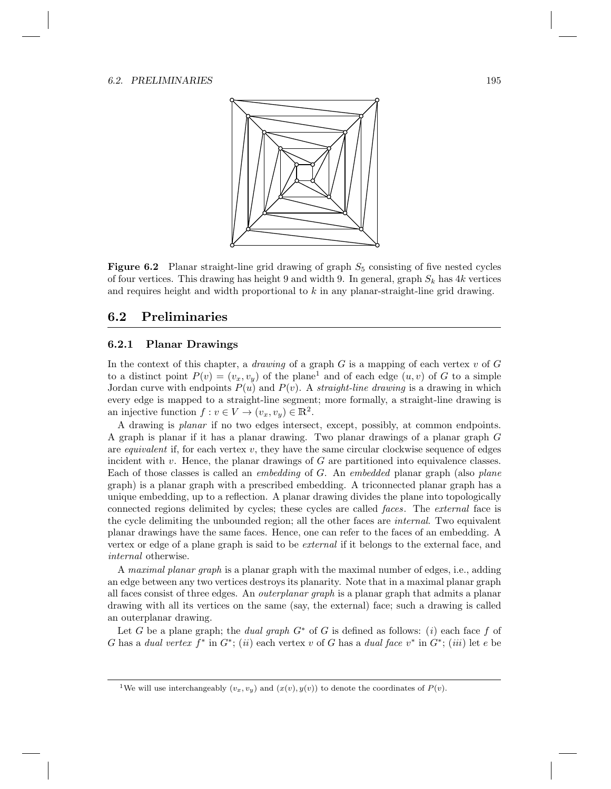#### 6.2. PRELIMINARIES 195



**Figure 6.2** Planar straight-line grid drawing of graph  $S_5$  consisting of five nested cycles of four vertices. This drawing has height 9 and width 9. In general, graph  $S_k$  has 4k vertices and requires height and width proportional to  $k$  in any planar-straight-line grid drawing.

#### 6.2 Preliminaries

#### 6.2.1 Planar Drawings

In the context of this chapter, a *drawing* of a graph  $G$  is a mapping of each vertex  $v$  of  $G$ to a distinct point  $P(v) = (v_x, v_y)$  of the plane<sup>1</sup> and of each edge  $(u, v)$  of G to a simple Jordan curve with endpoints  $P(u)$  and  $P(v)$ . A *straight-line drawing* is a drawing in which every edge is mapped to a straight-line segment; more formally, a straight-line drawing is an injective function  $f: v \in V \to (v_x, v_y) \in \mathbb{R}^2$ .

A drawing is planar if no two edges intersect, except, possibly, at common endpoints. A graph is planar if it has a planar drawing. Two planar drawings of a planar graph G are *equivalent* if, for each vertex  $v$ , they have the same circular clockwise sequence of edges incident with  $v$ . Hence, the planar drawings of  $G$  are partitioned into equivalence classes. Each of those classes is called an embedding of G. An embedded planar graph (also plane graph) is a planar graph with a prescribed embedding. A triconnected planar graph has a unique embedding, up to a reflection. A planar drawing divides the plane into topologically connected regions delimited by cycles; these cycles are called *faces*. The *external* face is the cycle delimiting the unbounded region; all the other faces are *internal*. Two equivalent planar drawings have the same faces. Hence, one can refer to the faces of an embedding. A vertex or edge of a plane graph is said to be external if it belongs to the external face, and internal otherwise.

A maximal planar graph is a planar graph with the maximal number of edges, i.e., adding an edge between any two vertices destroys its planarity. Note that in a maximal planar graph all faces consist of three edges. An outerplanar graph is a planar graph that admits a planar drawing with all its vertices on the same (say, the external) face; such a drawing is called an outerplanar drawing.

Let G be a plane graph; the *dual graph*  $G^*$  of G is defined as follows: (i) each face f of G has a dual vertex  $f^*$  in  $G^*$ ; (ii) each vertex v of G has a dual face  $v^*$  in  $G^*$ ; (iii) let e be

<sup>&</sup>lt;sup>1</sup>We will use interchangeably  $(v_x, v_y)$  and  $(x(v), y(v))$  to denote the coordinates of  $P(v)$ .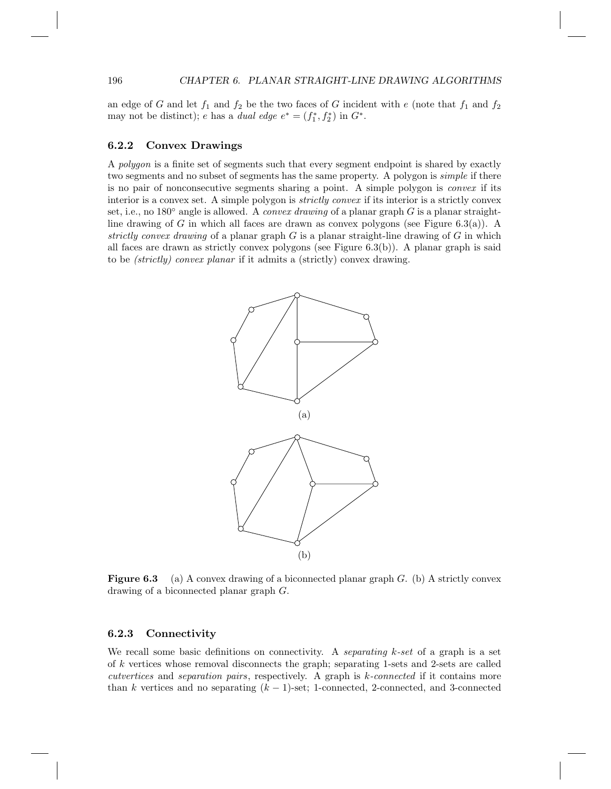an edge of G and let  $f_1$  and  $f_2$  be the two faces of G incident with e (note that  $f_1$  and  $f_2$ may not be distinct); e has a *dual edge*  $e^* = (f_1^*, f_2^*)$  in  $G^*$ .

#### 6.2.2 Convex Drawings

A polygon is a finite set of segments such that every segment endpoint is shared by exactly two segments and no subset of segments has the same property. A polygon is *simple* if there is no pair of nonconsecutive segments sharing a point. A simple polygon is convex if its interior is a convex set. A simple polygon is *strictly convex* if its interior is a strictly convex set, i.e., no 180 $\degree$  angle is allowed. A *convex drawing* of a planar graph G is a planar straightline drawing of G in which all faces are drawn as convex polygons (see Figure 6.3(a)). A strictly convex drawing of a planar graph  $G$  is a planar straight-line drawing of  $G$  in which all faces are drawn as strictly convex polygons (see Figure  $6.3(b)$ ). A planar graph is said to be (strictly) convex planar if it admits a (strictly) convex drawing.



**Figure 6.3** (a) A convex drawing of a biconnected planar graph  $G$ . (b) A strictly convex drawing of a biconnected planar graph G.

#### 6.2.3 Connectivity

We recall some basic definitions on connectivity. A separating  $k$ -set of a graph is a set of k vertices whose removal disconnects the graph; separating 1-sets and 2-sets are called cutvertices and separation pairs, respectively. A graph is k-connected if it contains more than k vertices and no separating  $(k-1)$ -set; 1-connected, 2-connected, and 3-connected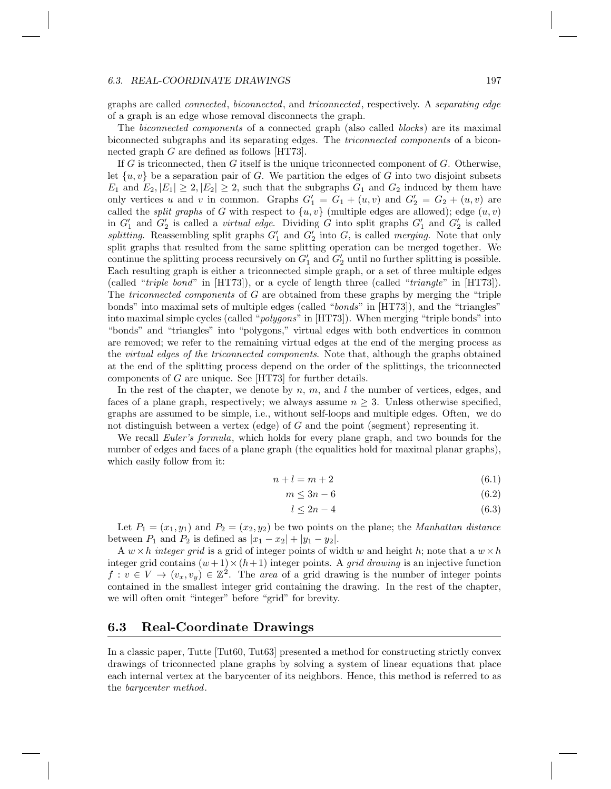#### 6.3. REAL-COORDINATE DRAWINGS 197

graphs are called connected, biconnected, and triconnected, respectively. A separating edge of a graph is an edge whose removal disconnects the graph.

The biconnected components of a connected graph (also called blocks) are its maximal biconnected subgraphs and its separating edges. The triconnected components of a biconnected graph G are defined as follows [HT73].

If  $G$  is triconnected, then  $G$  itself is the unique triconnected component of  $G$ . Otherwise, let  $\{u, v\}$  be a separation pair of G. We partition the edges of G into two disjoint subsets  $E_1$  and  $E_2$ ,  $|E_1| \geq 2$ ,  $|E_2| \geq 2$ , such that the subgraphs  $G_1$  and  $G_2$  induced by them have only vertices u and v in common. Graphs  $G'_1 = G_1 + (u, v)$  and  $G'_2 = G_2 + (u, v)$  are called the *split graphs* of G with respect to  $\{u, v\}$  (multiple edges are allowed); edge  $(u, v)$ in  $G'_1$  and  $G'_2$  is called a *virtual edge*. Dividing G into split graphs  $G'_1$  and  $G'_2$  is called splitting. Reassembling split graphs  $G'_1$  and  $G'_2$  into G, is called merging. Note that only split graphs that resulted from the same splitting operation can be merged together. We continue the splitting process recursively on  $G'_1$  and  $G'_2$  until no further splitting is possible. Each resulting graph is either a triconnected simple graph, or a set of three multiple edges (called "*triple bond*" in  $[HT73]$ ), or a cycle of length three (called "*triangle*" in  $[HT73]$ ). The *triconnected components* of G are obtained from these graphs by merging the "triple" bonds" into maximal sets of multiple edges (called "bonds" in [HT73]), and the "triangles" into maximal simple cycles (called "*polygons*" in [HT73]). When merging "triple bonds" into "bonds" and "triangles" into "polygons," virtual edges with both endvertices in common are removed; we refer to the remaining virtual edges at the end of the merging process as the virtual edges of the triconnected components. Note that, although the graphs obtained at the end of the splitting process depend on the order of the splittings, the triconnected components of G are unique. See [HT73] for further details.

In the rest of the chapter, we denote by  $n, m$ , and  $l$  the number of vertices, edges, and faces of a plane graph, respectively; we always assume  $n \geq 3$ . Unless otherwise specified, graphs are assumed to be simple, i.e., without self-loops and multiple edges. Often, we do not distinguish between a vertex (edge) of  $G$  and the point (segment) representing it.

We recall *Euler's formula*, which holds for every plane graph, and two bounds for the number of edges and faces of a plane graph (the equalities hold for maximal planar graphs), which easily follow from it:

$$
n + l = m + 2 \tag{6.1}
$$

$$
m \le 3n - 6 \tag{6.2}
$$

$$
l \le 2n - 4 \tag{6.3}
$$

Let  $P_1 = (x_1, y_1)$  and  $P_2 = (x_2, y_2)$  be two points on the plane; the *Manhattan distance* between  $P_1$  and  $P_2$  is defined as  $|x_1 - x_2| + |y_1 - y_2|$ .

A  $w \times h$  integer grid is a grid of integer points of width w and height h; note that a  $w \times h$ integer grid contains  $(w+1)\times(h+1)$  integer points. A *grid drawing* is an injective function  $f: v \in V \to (v_x, v_y) \in \mathbb{Z}^2$ . The area of a grid drawing is the number of integer points contained in the smallest integer grid containing the drawing. In the rest of the chapter, we will often omit "integer" before "grid" for brevity.

#### 6.3 Real-Coordinate Drawings

In a classic paper, Tutte [Tut60, Tut63] presented a method for constructing strictly convex drawings of triconnected plane graphs by solving a system of linear equations that place each internal vertex at the barycenter of its neighbors. Hence, this method is referred to as the barycenter method.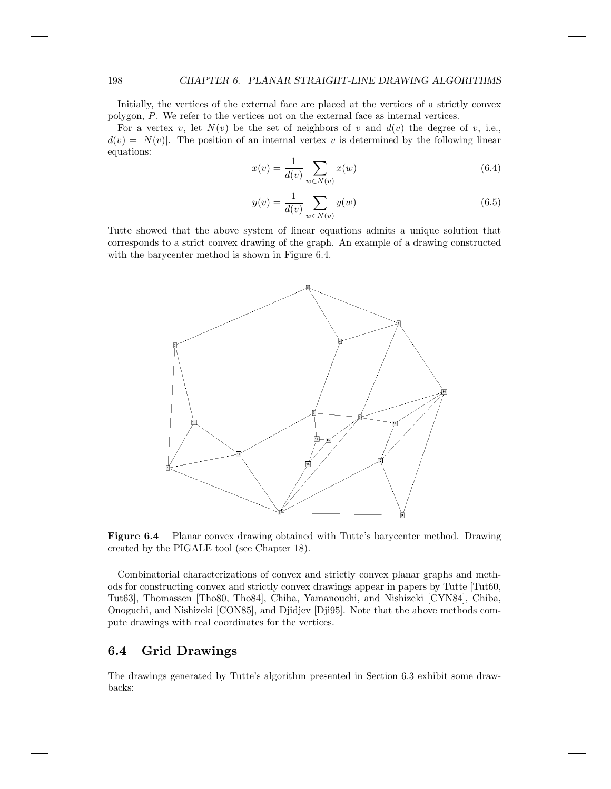Initially, the vertices of the external face are placed at the vertices of a strictly convex polygon, P. We refer to the vertices not on the external face as internal vertices.

For a vertex v, let  $N(v)$  be the set of neighbors of v and  $d(v)$  the degree of v, i.e.,  $d(v) = |N(v)|$ . The position of an internal vertex v is determined by the following linear equations:

$$
x(v) = \frac{1}{d(v)} \sum_{w \in N(v)} x(w)
$$
\n(6.4)

$$
y(v) = \frac{1}{d(v)} \sum_{w \in N(v)} y(w)
$$
 (6.5)

Tutte showed that the above system of linear equations admits a unique solution that corresponds to a strict convex drawing of the graph. An example of a drawing constructed with the barycenter method is shown in Figure 6.4.



Figure 6.4 Planar convex drawing obtained with Tutte's barycenter method. Drawing created by the PIGALE tool (see Chapter 18).

Combinatorial characterizations of convex and strictly convex planar graphs and methods for constructing convex and strictly convex drawings appear in papers by Tutte [Tut60, Tut63], Thomassen [Tho80, Tho84], Chiba, Yamanouchi, and Nishizeki [CYN84], Chiba, Onoguchi, and Nishizeki [CON85], and Djidjev [Dji95]. Note that the above methods compute drawings with real coordinates for the vertices.

#### 6.4 Grid Drawings

The drawings generated by Tutte's algorithm presented in Section 6.3 exhibit some drawbacks: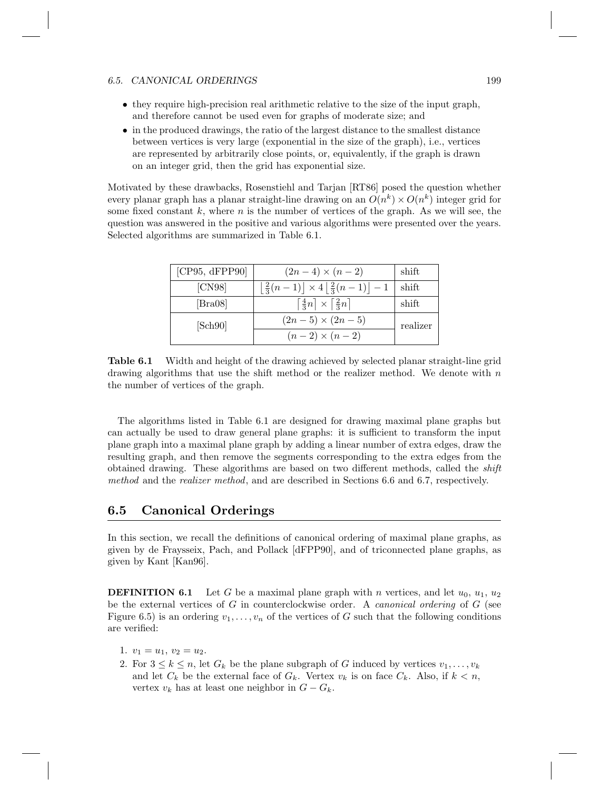#### 6.5. CANONICAL ORDERINGS 199

- they require high-precision real arithmetic relative to the size of the input graph, and therefore cannot be used even for graphs of moderate size; and
- in the produced drawings, the ratio of the largest distance to the smallest distance between vertices is very large (exponential in the size of the graph), i.e., vertices are represented by arbitrarily close points, or, equivalently, if the graph is drawn on an integer grid, then the grid has exponential size.

Motivated by these drawbacks, Rosenstiehl and Tarjan [RT86] posed the question whether every planar graph has a planar straight-line drawing on an  $O(n^k) \times O(n^k)$  integer grid for some fixed constant  $k$ , where  $n$  is the number of vertices of the graph. As we will see, the question was answered in the positive and various algorithms were presented over the years. Selected algorithms are summarized in Table 6.1.

| [CP95, dFPP90]              | $(2n-4) \times (n-2)$                                                                | shift    |
|-----------------------------|--------------------------------------------------------------------------------------|----------|
| [CN98]                      | $\left \frac{2}{3}(n-1)\right  \times 4 \left \frac{2}{3}(n-1)\right  - 1$ shift     |          |
| $\left[\text{Bra}08\right]$ | $\left\lfloor \frac{4}{3}n\right\rfloor \times \left\lceil \frac{2}{3}n\right\rceil$ | shift    |
| [Sch90]                     | $(2n-5) \times (2n-5)$                                                               | realizer |
|                             | $(n-2) \times (n-2)$                                                                 |          |

Table 6.1 Width and height of the drawing achieved by selected planar straight-line grid drawing algorithms that use the shift method or the realizer method. We denote with  $n$ the number of vertices of the graph.

The algorithms listed in Table 6.1 are designed for drawing maximal plane graphs but can actually be used to draw general plane graphs: it is sufficient to transform the input plane graph into a maximal plane graph by adding a linear number of extra edges, draw the resulting graph, and then remove the segments corresponding to the extra edges from the obtained drawing. These algorithms are based on two different methods, called the shift method and the *realizer method*, and are described in Sections 6.6 and 6.7, respectively.

#### 6.5 Canonical Orderings

In this section, we recall the definitions of canonical ordering of maximal plane graphs, as given by de Fraysseix, Pach, and Pollack [dFPP90], and of triconnected plane graphs, as given by Kant [Kan96].

**DEFINITION 6.1** Let G be a maximal plane graph with n vertices, and let  $u_0$ ,  $u_1$ ,  $u_2$ be the external vertices of G in counterclockwise order. A *canonical ordering* of  $G$  (see Figure 6.5) is an ordering  $v_1, \ldots, v_n$  of the vertices of G such that the following conditions are verified:

- 1.  $v_1 = u_1, v_2 = u_2.$
- 2. For  $3 \leq k \leq n$ , let  $G_k$  be the plane subgraph of G induced by vertices  $v_1, \ldots, v_k$ and let  $C_k$  be the external face of  $G_k$ . Vertex  $v_k$  is on face  $C_k$ . Also, if  $k < n$ , vertex  $v_k$  has at least one neighbor in  $G - G_k$ .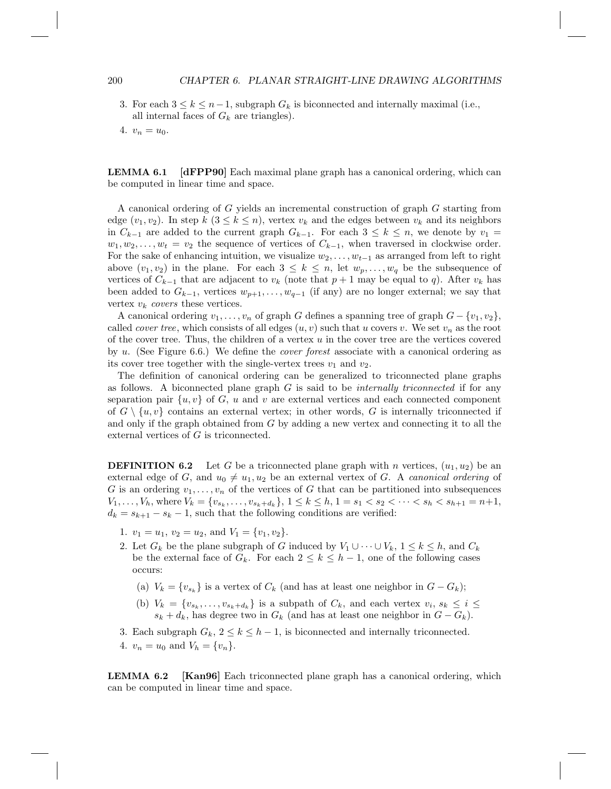#### 200 CHAPTER 6. PLANAR STRAIGHT-LINE DRAWING ALGORITHMS

- 3. For each  $3 \leq k \leq n-1$ , subgraph  $G_k$  is biconnected and internally maximal (i.e., all internal faces of  $G_k$  are triangles).
- 4.  $v_n = u_0$ .

**LEMMA 6.1 [dFPP90]** Each maximal plane graph has a canonical ordering, which can be computed in linear time and space.

A canonical ordering of G yields an incremental construction of graph G starting from edge  $(v_1, v_2)$ . In step  $k$   $(3 \leq k \leq n)$ , vertex  $v_k$  and the edges between  $v_k$  and its neighbors in  $C_{k-1}$  are added to the current graph  $G_{k-1}$ . For each  $3 \leq k \leq n$ , we denote by  $v_1 =$  $w_1, w_2, \ldots, w_t = v_2$  the sequence of vertices of  $C_{k-1}$ , when traversed in clockwise order. For the sake of enhancing intuition, we visualize  $w_2, \ldots, w_{t-1}$  as arranged from left to right above  $(v_1, v_2)$  in the plane. For each  $3 \leq k \leq n$ , let  $w_p, \ldots, w_q$  be the subsequence of vertices of  $C_{k-1}$  that are adjacent to  $v_k$  (note that  $p+1$  may be equal to q). After  $v_k$  has been added to  $G_{k-1}$ , vertices  $w_{p+1}, \ldots, w_{q-1}$  (if any) are no longer external; we say that vertex  $v_k$  covers these vertices.

A canonical ordering  $v_1, \ldots, v_n$  of graph G defines a spanning tree of graph  $G - \{v_1, v_2\}$ , called *cover tree*, which consists of all edges  $(u, v)$  such that u covers v. We set  $v_n$  as the root of the cover tree. Thus, the children of a vertex  $u$  in the cover tree are the vertices covered by u. (See Figure 6.6.) We define the cover forest associate with a canonical ordering as its cover tree together with the single-vertex trees  $v_1$  and  $v_2$ .

The definition of canonical ordering can be generalized to triconnected plane graphs as follows. A biconnected plane graph  $G$  is said to be *internally triconnected* if for any separation pair  $\{u, v\}$  of G, u and v are external vertices and each connected component of  $G \setminus \{u, v\}$  contains an external vertex; in other words, G is internally triconnected if and only if the graph obtained from G by adding a new vertex and connecting it to all the external vertices of G is triconnected.

**DEFINITION 6.2** Let G be a triconnected plane graph with n vertices,  $(u_1, u_2)$  be an external edge of G, and  $u_0 \neq u_1, u_2$  be an external vertex of G. A canonical ordering of G is an ordering  $v_1, \ldots, v_n$  of the vertices of G that can be partitioned into subsequences  $V_1, \ldots, V_h$ , where  $V_k = \{v_{s_k}, \ldots, v_{s_k+d_k}\}, 1 \leq k \leq h, 1 = s_1 < s_2 < \cdots < s_h < s_{h+1} = n+1,$  $d_k = s_{k+1} - s_k - 1$ , such that the following conditions are verified:

- 1.  $v_1 = u_1$ ,  $v_2 = u_2$ , and  $V_1 = \{v_1, v_2\}$ .
- 2. Let  $G_k$  be the plane subgraph of G induced by  $V_1 \cup \cdots \cup V_k$ ,  $1 \leq k \leq h$ , and  $C_k$ be the external face of  $G_k$ . For each  $2 \leq k \leq h-1$ , one of the following cases occurs:
	- (a)  $V_k = \{v_{s_k}\}\$ is a vertex of  $C_k$  (and has at least one neighbor in  $G G_k$ );
	- (b)  $V_k = \{v_{s_k}, \ldots, v_{s_k+d_k}\}\$ is a subpath of  $C_k$ , and each vertex  $v_i, s_k \leq i \leq$  $s_k + d_k$ , has degree two in  $G_k$  (and has at least one neighbor in  $G - G_k$ ).
- 3. Each subgraph  $G_k$ ,  $2 \leq k \leq h-1$ , is biconnected and internally triconnected.
- 4.  $v_n = u_0$  and  $V_h = \{v_n\}.$

LEMMA 6.2 [Kan96] Each triconnected plane graph has a canonical ordering, which can be computed in linear time and space.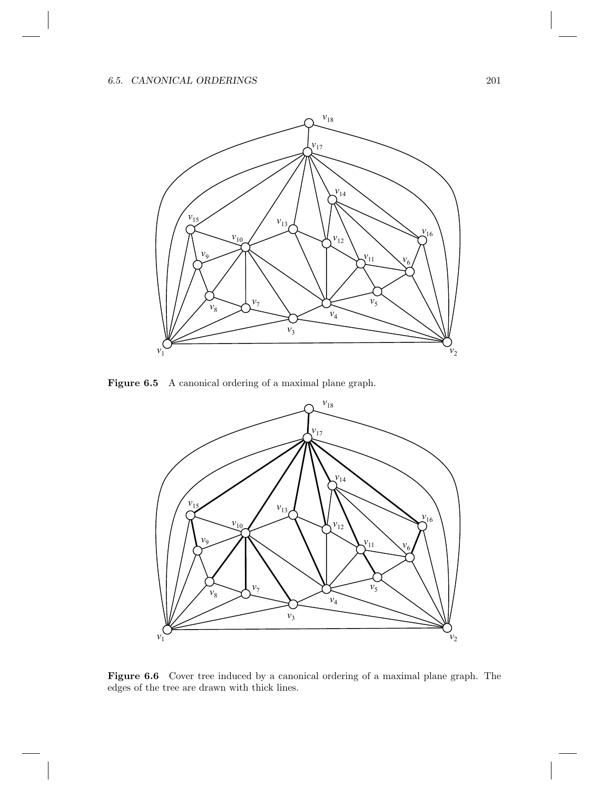

Figure 6.5 A canonical ordering of a maximal plane graph.



Figure 6.6 Cover tree induced by a canonical ordering of a maximal plane graph. The edges of the tree are drawn with thick lines.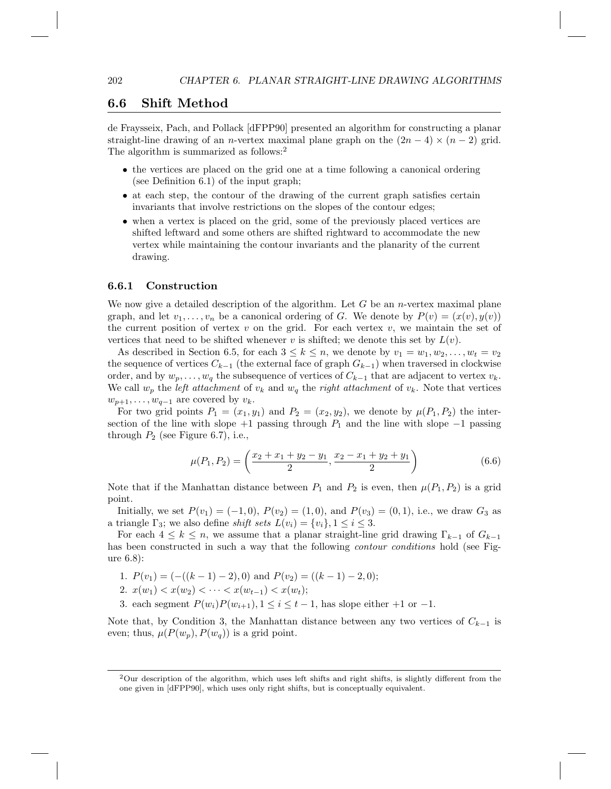### 6.6 Shift Method

de Fraysseix, Pach, and Pollack [dFPP90] presented an algorithm for constructing a planar straight-line drawing of an n-vertex maximal plane graph on the  $(2n-4) \times (n-2)$  grid. The algorithm is summarized as follows:<sup>2</sup>

- the vertices are placed on the grid one at a time following a canonical ordering (see Definition 6.1) of the input graph;
- at each step, the contour of the drawing of the current graph satisfies certain invariants that involve restrictions on the slopes of the contour edges;
- when a vertex is placed on the grid, some of the previously placed vertices are shifted leftward and some others are shifted rightward to accommodate the new vertex while maintaining the contour invariants and the planarity of the current drawing.

#### 6.6.1 Construction

We now give a detailed description of the algorithm. Let  $G$  be an *n*-vertex maximal plane graph, and let  $v_1, \ldots, v_n$  be a canonical ordering of G. We denote by  $P(v) = (x(v), y(v))$ the current position of vertex  $v$  on the grid. For each vertex  $v$ , we maintain the set of vertices that need to be shifted whenever v is shifted; we denote this set by  $L(v)$ .

As described in Section 6.5, for each  $3 \leq k \leq n$ , we denote by  $v_1 = w_1, w_2, \ldots, w_t = v_2$ the sequence of vertices  $C_{k-1}$  (the external face of graph  $G_{k-1}$ ) when traversed in clockwise order, and by  $w_p, \ldots, w_q$  the subsequence of vertices of  $C_{k-1}$  that are adjacent to vertex  $v_k$ . We call  $w_p$  the *left attachment* of  $v_k$  and  $w_q$  the *right attachment* of  $v_k$ . Note that vertices  $w_{p+1}, \ldots, w_{q-1}$  are covered by  $v_k$ .

For two grid points  $P_1 = (x_1, y_1)$  and  $P_2 = (x_2, y_2)$ , we denote by  $\mu(P_1, P_2)$  the intersection of the line with slope  $+1$  passing through  $P_1$  and the line with slope  $-1$  passing through  $P_2$  (see Figure 6.7), i.e.,

$$
\mu(P_1, P_2) = \left(\frac{x_2 + x_1 + y_2 - y_1}{2}, \frac{x_2 - x_1 + y_2 + y_1}{2}\right) \tag{6.6}
$$

Note that if the Manhattan distance between  $P_1$  and  $P_2$  is even, then  $\mu(P_1, P_2)$  is a grid point.

Initially, we set  $P(v_1) = (-1, 0)$ ,  $P(v_2) = (1, 0)$ , and  $P(v_3) = (0, 1)$ , i.e., we draw  $G_3$  as a triangle  $\Gamma_3$ ; we also define *shift sets*  $L(v_i) = \{v_i\}, 1 \leq i \leq 3$ .

For each  $4 \leq k \leq n$ , we assume that a planar straight-line grid drawing  $\Gamma_{k-1}$  of  $G_{k-1}$ has been constructed in such a way that the following *contour conditions* hold (see Figure 6.8):

- 1.  $P(v_1) = (-(k-1)-2), 0$  and  $P(v_2) = ((k-1)-2, 0)$ ;
- 2.  $x(w_1) < x(w_2) < \cdots < x(w_{t-1}) < x(w_t);$
- 3. each segment  $P(w_i)P(w_{i+1}), 1 \leq i \leq t-1$ , has slope either +1 or -1.

Note that, by Condition 3, the Manhattan distance between any two vertices of  $C_{k-1}$  is even; thus,  $\mu(P(w_p), P(w_q))$  is a grid point.

 $2$ Our description of the algorithm, which uses left shifts and right shifts, is slightly different from the one given in [dFPP90], which uses only right shifts, but is conceptually equivalent.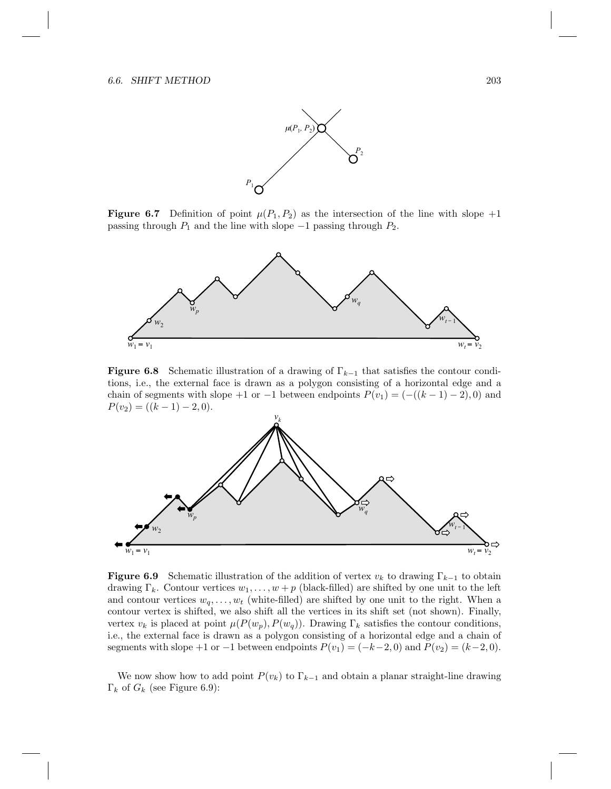

**Figure 6.7** Definition of point  $\mu(P_1, P_2)$  as the intersection of the line with slope +1 passing through  $P_1$  and the line with slope  $-1$  passing through  $P_2$ .



**Figure 6.8** Schematic illustration of a drawing of  $\Gamma_{k-1}$  that satisfies the contour conditions, i.e., the external face is drawn as a polygon consisting of a horizontal edge and a chain of segments with slope +1 or −1 between endpoints  $P(v_1) = (-(k-1) - 2)$ , 0) and  $P(v_2) = ((k-1) - 2, 0).$ 



**Figure 6.9** Schematic illustration of the addition of vertex  $v_k$  to drawing  $\Gamma_{k-1}$  to obtain drawing  $\Gamma_k$ . Contour vertices  $w_1, \ldots, w + p$  (black-filled) are shifted by one unit to the left and contour vertices  $w_q, \ldots, w_t$  (white-filled) are shifted by one unit to the right. When a contour vertex is shifted, we also shift all the vertices in its shift set (not shown). Finally, vertex  $v_k$  is placed at point  $\mu(P(w_p), P(w_q))$ . Drawing  $\Gamma_k$  satisfies the contour conditions, i.e., the external face is drawn as a polygon consisting of a horizontal edge and a chain of segments with slope +1 or -1 between endpoints  $P(v_1) = (-k-2, 0)$  and  $P(v_2) = (k-2, 0)$ .

We now show how to add point  $P(v_k)$  to  $\Gamma_{k-1}$  and obtain a planar straight-line drawing  $\Gamma_k$  of  $G_k$  (see Figure 6.9):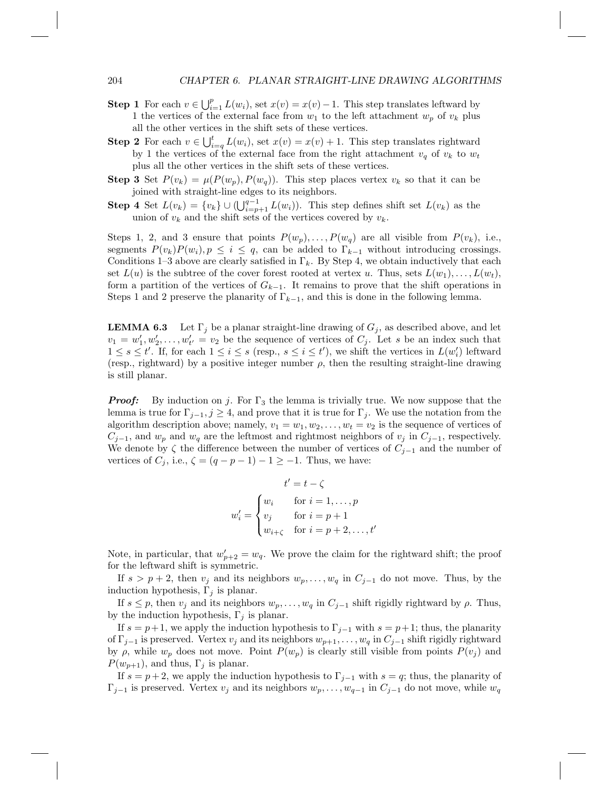- **Step 1** For each  $v \in \bigcup_{i=1}^p L(w_i)$ , set  $x(v) = x(v) 1$ . This step translates leftward by 1 the vertices of the external face from  $w_1$  to the left attachment  $w_p$  of  $v_k$  plus all the other vertices in the shift sets of these vertices.
- **Step 2** For each  $v \in \bigcup_{i=q}^{t} L(w_i)$ , set  $x(v) = x(v) + 1$ . This step translates rightward by 1 the vertices of the external face from the right attachment  $v_q$  of  $v_k$  to  $w_t$ plus all the other vertices in the shift sets of these vertices.
- **Step 3** Set  $P(v_k) = \mu(P(w_p), P(w_q))$ . This step places vertex  $v_k$  so that it can be joined with straight-line edges to its neighbors.
- **Step 4** Set  $L(v_k) = \{v_k\} \cup (\bigcup_{i=p+1}^{q-1} L(w_i))$ . This step defines shift set  $L(v_k)$  as the union of  $v_k$  and the shift sets of the vertices covered by  $v_k$ .

Steps 1, 2, and 3 ensure that points  $P(w_p), \ldots, P(w_q)$  are all visible from  $P(v_k)$ , i.e., segments  $P(v_k)P(w_i), p \leq i \leq q$ , can be added to  $\Gamma_{k-1}$  without introducing crossings. Conditions 1–3 above are clearly satisfied in  $\Gamma_k$ . By Step 4, we obtain inductively that each set  $L(u)$  is the subtree of the cover forest rooted at vertex u. Thus, sets  $L(w_1), \ldots, L(w_t)$ , form a partition of the vertices of  $G_{k-1}$ . It remains to prove that the shift operations in Steps 1 and 2 preserve the planarity of  $\Gamma_{k-1}$ , and this is done in the following lemma.

**LEMMA 6.3** Let  $\Gamma_j$  be a planar straight-line drawing of  $G_j$ , as described above, and let  $v_1 = w'_1, w'_2, \ldots, w'_{t'} = v_2$  be the sequence of vertices of  $C_j$ . Let s be an index such that  $1 \leq s \leq t'$ . If, for each  $1 \leq i \leq s$  (resp.,  $s \leq i \leq t'$ ), we shift the vertices in  $L(w'_i)$  leftward (resp., rightward) by a positive integer number  $\rho$ , then the resulting straight-line drawing is still planar.

**Proof:** By induction on j. For  $\Gamma_3$  the lemma is trivially true. We now suppose that the lemma is true for  $\Gamma_{j-1}, j \geq 4$ , and prove that it is true for  $\Gamma_j$ . We use the notation from the algorithm description above; namely,  $v_1 = w_1, w_2, \ldots, w_t = v_2$  is the sequence of vertices of  $C_{j-1}$ , and  $w_p$  and  $w_q$  are the leftmost and rightmost neighbors of  $v_j$  in  $C_{j-1}$ , respectively. We denote by  $\zeta$  the difference between the number of vertices of  $C_{j-1}$  and the number of vertices of  $C_i$ , i.e.,  $\zeta = (q - p - 1) - 1 \ge -1$ . Thus, we have:

$$
t' = t - \zeta
$$
  

$$
w'_{i} = \begin{cases} w_{i} & \text{for } i = 1, \dots, p \\ v_{j} & \text{for } i = p + 1 \\ w_{i + \zeta} & \text{for } i = p + 2, \dots, t' \end{cases}
$$

Note, in particular, that  $w'_{p+2} = w_q$ . We prove the claim for the rightward shift; the proof for the leftward shift is symmetric.

If  $s > p+2$ , then  $v_j$  and its neighbors  $w_p, \ldots, w_q$  in  $C_{j-1}$  do not move. Thus, by the induction hypothesis,  $\Gamma_i$  is planar.

If  $s \leq p$ , then  $v_j$  and its neighbors  $w_p, \ldots, w_q$  in  $C_{j-1}$  shift rigidly rightward by  $\rho$ . Thus, by the induction hypothesis,  $\Gamma_j$  is planar.

If  $s = p+1$ , we apply the induction hypothesis to  $\Gamma_{j-1}$  with  $s = p+1$ ; thus, the planarity of  $\Gamma_{j-1}$  is preserved. Vertex  $v_j$  and its neighbors  $w_{p+1}, \ldots, w_q$  in  $C_{j-1}$  shift rigidly rightward by  $\rho$ , while  $w_p$  does not move. Point  $P(w_p)$  is clearly still visible from points  $P(v_j)$  and  $P(w_{p+1}),$  and thus,  $\Gamma_i$  is planar.

If  $s = p + 2$ , we apply the induction hypothesis to  $\Gamma_{j-1}$  with  $s = q$ ; thus, the planarity of  $\Gamma_{j-1}$  is preserved. Vertex  $v_j$  and its neighbors  $w_p, \ldots, w_{q-1}$  in  $C_{j-1}$  do not move, while  $w_q$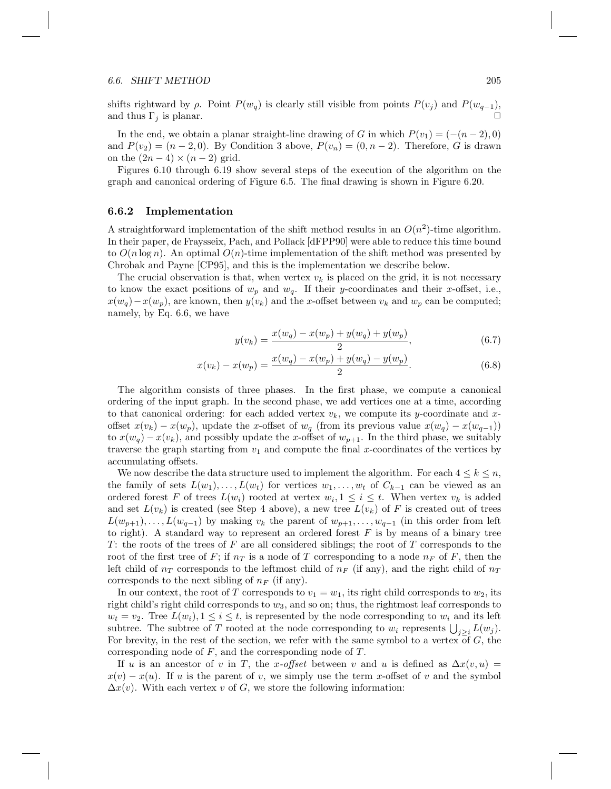#### 6.6. SHIFT METHOD 205

shifts rightward by  $\rho$ . Point  $P(w_q)$  is clearly still visible from points  $P(v_j)$  and  $P(w_{q-1})$ , and thus  $\Gamma_i$  is planar.

In the end, we obtain a planar straight-line drawing of G in which  $P(v_1) = (-(n-2), 0)$ and  $P(v_2) = (n-2,0)$ . By Condition 3 above,  $P(v_n) = (0, n-2)$ . Therefore, G is drawn on the  $(2n-4) \times (n-2)$  grid.

Figures 6.10 through 6.19 show several steps of the execution of the algorithm on the graph and canonical ordering of Figure 6.5. The final drawing is shown in Figure 6.20.

#### 6.6.2 Implementation

A straightforward implementation of the shift method results in an  $O(n^2)$ -time algorithm. In their paper, de Fraysseix, Pach, and Pollack [dFPP90] were able to reduce this time bound to  $O(n \log n)$ . An optimal  $O(n)$ -time implementation of the shift method was presented by Chrobak and Payne [CP95], and this is the implementation we describe below.

The crucial observation is that, when vertex  $v_k$  is placed on the grid, it is not necessary to know the exact positions of  $w_p$  and  $w_q$ . If their y-coordinates and their x-offset, i.e.,  $x(w_q)-x(w_p)$ , are known, then  $y(v_k)$  and the x-offset between  $v_k$  and  $w_p$  can be computed; namely, by Eq. 6.6, we have

$$
y(v_k) = \frac{x(w_q) - x(w_p) + y(w_q) + y(w_p)}{2},\tag{6.7}
$$

$$
x(v_k) - x(w_p) = \frac{x(w_q) - x(w_p) + y(w_q) - y(w_p)}{2}.
$$
\n(6.8)

The algorithm consists of three phases. In the first phase, we compute a canonical ordering of the input graph. In the second phase, we add vertices one at a time, according to that canonical ordering: for each added vertex  $v_k$ , we compute its y-coordinate and xoffset  $x(v_k) - x(w_p)$ , update the x-offset of  $w_q$  (from its previous value  $x(w_q) - x(w_{q-1})$ ) to  $x(w_q) - x(v_k)$ , and possibly update the x-offset of  $w_{p+1}$ . In the third phase, we suitably traverse the graph starting from  $v_1$  and compute the final x-coordinates of the vertices by accumulating offsets.

We now describe the data structure used to implement the algorithm. For each  $4 \leq k \leq n$ , the family of sets  $L(w_1), \ldots, L(w_t)$  for vertices  $w_1, \ldots, w_t$  of  $C_{k-1}$  can be viewed as an ordered forest F of trees  $L(w_i)$  rooted at vertex  $w_i, 1 \leq i \leq t$ . When vertex  $v_k$  is added and set  $L(v_k)$  is created (see Step 4 above), a new tree  $L(v_k)$  of F is created out of trees  $L(w_{p+1}), \ldots, L(w_{q-1})$  by making  $v_k$  the parent of  $w_{p+1}, \ldots, w_{q-1}$  (in this order from left to right). A standard way to represent an ordered forest  $F$  is by means of a binary tree T: the roots of the trees of  $F$  are all considered siblings; the root of  $T$  corresponds to the root of the first tree of F; if  $n<sub>T</sub>$  is a node of T corresponding to a node  $n<sub>F</sub>$  of F, then the left child of  $n_T$  corresponds to the leftmost child of  $n_F$  (if any), and the right child of  $n_T$ corresponds to the next sibling of  $n_F$  (if any).

In our context, the root of T corresponds to  $v_1 = w_1$ , its right child corresponds to  $w_2$ , its right child's right child corresponds to  $w_3$ , and so on; thus, the rightmost leaf corresponds to  $w_t = v_2$ . Tree  $L(w_i)$ ,  $1 \leq i \leq t$ , is represented by the node corresponding to  $w_i$  and its left subtree. The subtree of T rooted at the node corresponding to  $w_i$  represents  $\bigcup_{j\geq i} L(w_j)$ . For brevity, in the rest of the section, we refer with the same symbol to a vertex of  $G$ , the corresponding node of F, and the corresponding node of T.

If u is an ancestor of v in T, the x-offset between v and u is defined as  $\Delta x(v, u)$  =  $x(v) - x(u)$ . If u is the parent of v, we simply use the term x-offset of v and the symbol  $\Delta x(v)$ . With each vertex v of G, we store the following information: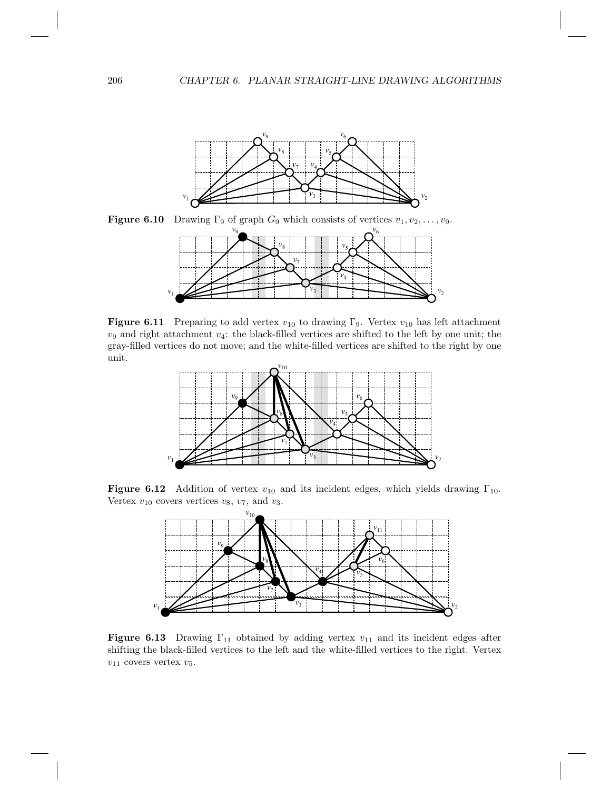

**Figure 6.10** Drawing  $\Gamma_9$  of graph  $G_9$  which consists of vertices  $v_1, v_2, \ldots, v_9$ .  $v_9$   $v_6$ 



**Figure 6.11** Preparing to add vertex  $v_{10}$  to drawing Γ<sub>9</sub>. Vertex  $v_{10}$  has left attachment  $v_9$  and right attachment  $v_4$ : the black-filled vertices are shifted to the left by one unit; the gray-filled vertices do not move; and the white-filled vertices are shifted to the right by one unit.



**Figure 6.12** Addition of vertex  $v_{10}$  and its incident edges, which yields drawing  $\Gamma_{10}$ . Vertex  $v_{10}$  covers vertices  $v_8$ ,  $v_7$ , and  $v_3$ .



**Figure 6.13** Drawing  $\Gamma_{11}$  obtained by adding vertex  $v_{11}$  and its incident edges after shifting the black-filled vertices to the left and the white-filled vertices to the right. Vertex  $v_{11}$  covers vertex  $v_5.$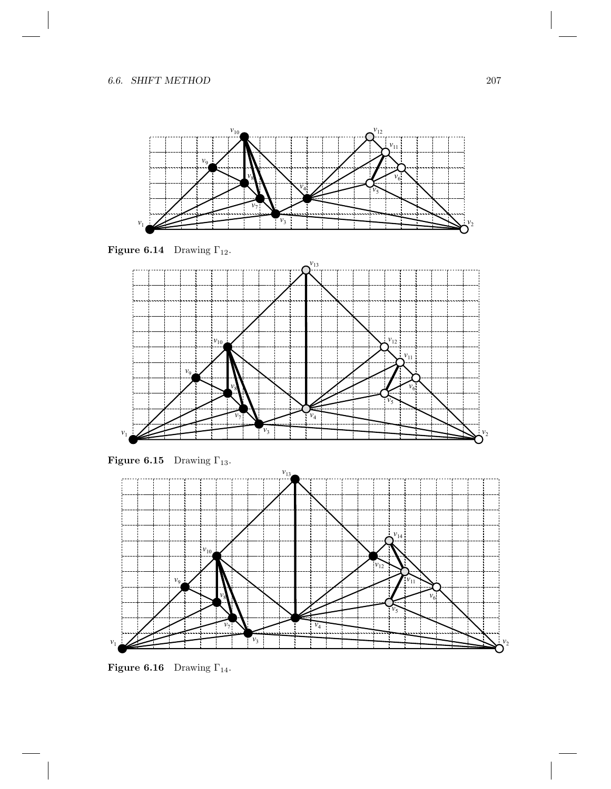

**Figure 6.14** Drawing  $\Gamma_{12}$ .



**Figure 6.15** Drawing  $\Gamma_{13}$ .



**Figure 6.16** Drawing  $\Gamma_{14}$ .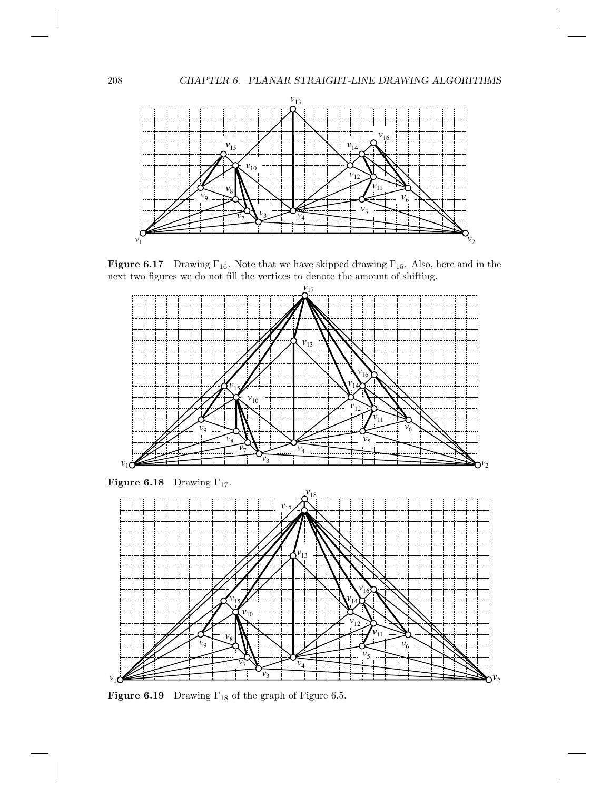

**Figure 6.17** Drawing  $\Gamma_{16}$ . Note that we have skipped drawing  $\Gamma_{15}$ . Also, here and in the next two figures we do not fill the vertices to denote the amount of shifting.



**Figure 6.18** Drawing  $\Gamma_{17}$ .



**Figure 6.19** Drawing  $\Gamma_{18}$  of the graph of Figure 6.5.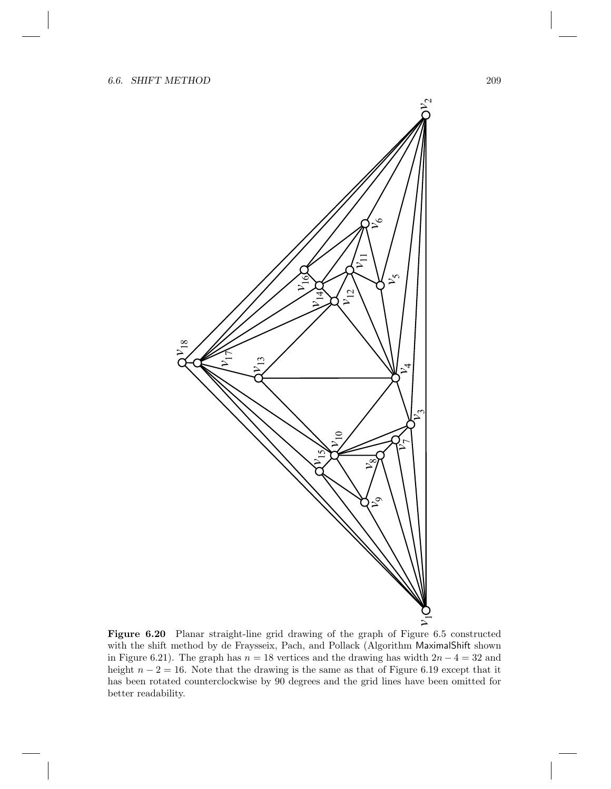

Figure 6.20 Planar straight-line grid drawing of the graph of Figure 6.5 constructed with the shift method by de Fraysseix, Pach, and Pollack (Algorithm MaximalShift shown in Figure 6.21). The graph has  $n = 18$  vertices and the drawing has width  $2n - 4 = 32$  and height  $n - 2 = 16$ . Note that the drawing is the same as that of Figure 6.19 except that it has been rotated counterclockwise by 90 degrees and the grid lines have been omitted for better readability.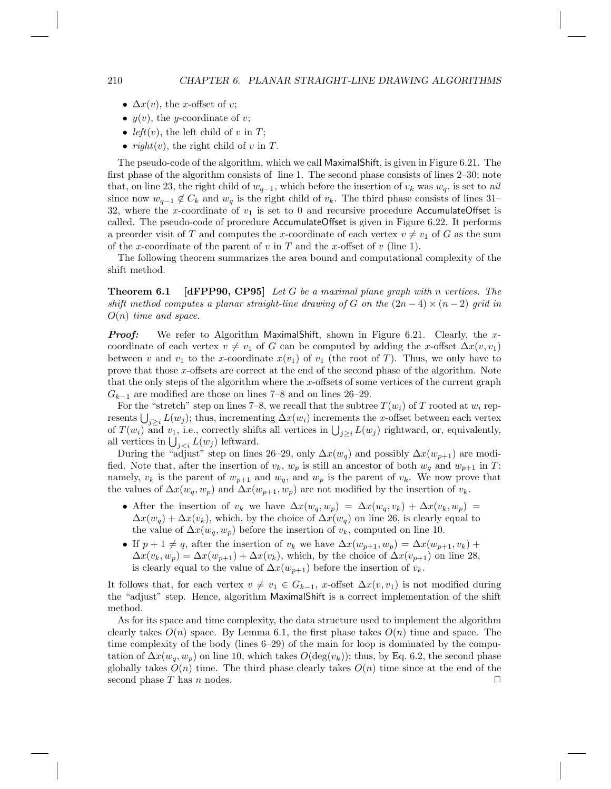- $\Delta x(v)$ , the x-offset of v;
- $y(v)$ , the *y*-coordinate of *v*;
- left(v), the left child of v in  $T$ ;
- $right(v)$ , the right child of v in T.

The pseudo-code of the algorithm, which we call MaximalShift, is given in Figure 6.21. The first phase of the algorithm consists of line 1. The second phase consists of lines 2–30; note that, on line 23, the right child of  $w_{q-1}$ , which before the insertion of  $v_k$  was  $w_q$ , is set to nil since now  $w_{q-1} \notin C_k$  and  $w_q$  is the right child of  $v_k$ . The third phase consists of lines 31– 32, where the x-coordinate of  $v_1$  is set to 0 and recursive procedure AccumulateOffset is called. The pseudo-code of procedure AccumulateOffset is given in Figure 6.22. It performs a preorder visit of T and computes the x-coordinate of each vertex  $v \neq v_1$  of G as the sum of the x-coordinate of the parent of v in T and the x-offset of v (line 1).

The following theorem summarizes the area bound and computational complexity of the shift method.

**Theorem 6.1** [dFPP90, CP95] Let G be a maximal plane graph with n vertices. The shift method computes a planar straight-line drawing of G on the  $(2n-4) \times (n-2)$  grid in  $O(n)$  time and space.

**Proof:** We refer to Algorithm MaximalShift, shown in Figure 6.21. Clearly, the xcoordinate of each vertex  $v \neq v_1$  of G can be computed by adding the x-offset  $\Delta x(v, v_1)$ between v and  $v_1$  to the x-coordinate  $x(v_1)$  of  $v_1$  (the root of T). Thus, we only have to prove that those x-offsets are correct at the end of the second phase of the algorithm. Note that the only steps of the algorithm where the x-offsets of some vertices of the current graph  $G_{k-1}$  are modified are those on lines 7–8 and on lines 26–29.

For the "stretch" step on lines 7–8, we recall that the subtree  $T(w_i)$  of T rooted at  $w_i$  represents  $\bigcup_{j\geq i} L(w_j)$ ; thus, incrementing  $\Delta x(w_i)$  increments the x-offset between each vertex of  $T(w_i)$  and  $v_1$ , i.e., correctly shifts all vertices in  $\bigcup_{j\geq i} L(w_j)$  rightward, or, equivalently, all vertices in  $\bigcup_{j leftward.$ 

During the "adjust" step on lines 26–29, only  $\Delta x(w_q)$  and possibly  $\Delta x(w_{p+1})$  are modified. Note that, after the insertion of  $v_k$ ,  $w_p$  is still an ancestor of both  $w_q$  and  $w_{p+1}$  in T: namely,  $v_k$  is the parent of  $w_{p+1}$  and  $w_q$ , and  $w_p$  is the parent of  $v_k$ . We now prove that the values of  $\Delta x(w_q, w_p)$  and  $\Delta x(w_{p+1}, w_p)$  are not modified by the insertion of  $v_k$ .

- After the insertion of  $v_k$  we have  $\Delta x(w_q, w_p) = \Delta x(w_q, v_k) + \Delta x(v_k, w_p) =$  $\Delta x(w_q) + \Delta x(v_k)$ , which, by the choice of  $\Delta x(w_q)$  on line 26, is clearly equal to the value of  $\Delta x(w_q, w_p)$  before the insertion of  $v_k$ , computed on line 10.
- If  $p + 1 \neq q$ , after the insertion of  $v_k$  we have  $\Delta x(w_{p+1}, w_p) = \Delta x(w_{p+1}, v_k) +$  $\Delta x(v_k, w_p) = \Delta x(w_{p+1}) + \Delta x(v_k)$ , which, by the choice of  $\Delta x(v_{p+1})$  on line 28, is clearly equal to the value of  $\Delta x(w_{p+1})$  before the insertion of  $v_k$ .

It follows that, for each vertex  $v \neq v_1 \in G_{k-1}$ , x-offset  $\Delta x(v, v_1)$  is not modified during the "adjust" step. Hence, algorithm MaximalShift is a correct implementation of the shift method.

As for its space and time complexity, the data structure used to implement the algorithm clearly takes  $O(n)$  space. By Lemma 6.1, the first phase takes  $O(n)$  time and space. The time complexity of the body (lines 6–29) of the main for loop is dominated by the computation of  $\Delta x(w_q, w_p)$  on line 10, which takes  $O(\deg(v_k))$ ; thus, by Eq. 6.2, the second phase globally takes  $O(n)$  time. The third phase clearly takes  $O(n)$  time since at the end of the second phase T has n nodes.  $\Box$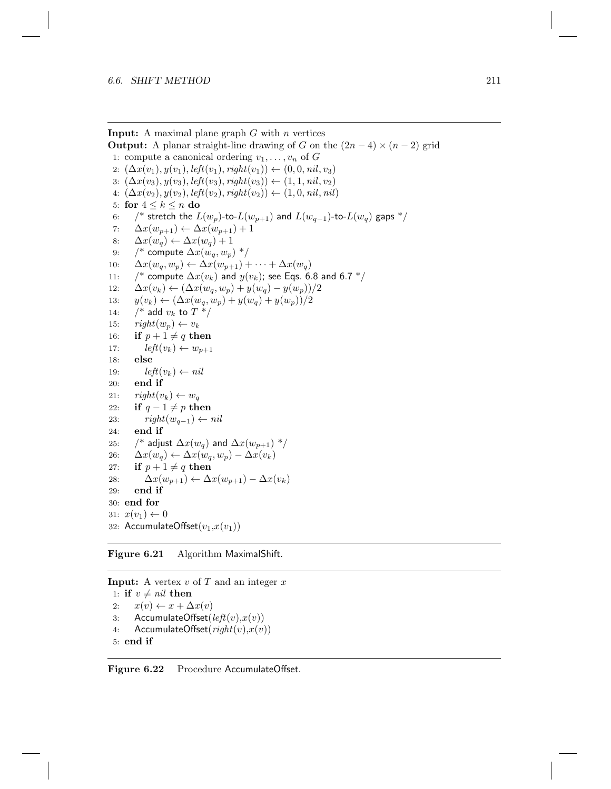**Input:** A maximal plane graph  $G$  with  $n$  vertices **Output:** A planar straight-line drawing of G on the  $(2n-4) \times (n-2)$  grid 1: compute a canonical ordering  $v_1, \ldots, v_n$  of G 2:  $(\Delta x(v_1), y(v_1), \text{left}(v_1), \text{right}(v_1)) \leftarrow (0, 0, \text{nil}, v_3)$ 3:  $(\Delta x(v_3), y(v_3), \text{left}(v_3), \text{right}(v_3))$  ←  $(1, 1, \text{nil}, v_2)$ 4:  $(\Delta x(v_2), y(v_2), \text{left}(v_2), \text{right}(v_2)) \leftarrow (1, 0, \text{nil}, \text{nil})$ 5: for  $4 \leq k \leq n$  do 6:  $\frac{1}{2}$  stretch the  $L(w_p)$ -to- $L(w_{p+1})$  and  $L(w_{q-1})$ -to- $L(w_q)$  gaps  $\frac{k}{2}$ 7:  $\Delta x(w_{p+1}) \leftarrow \Delta x(w_{p+1}) + 1$ 8:  $\Delta x(w_q) \leftarrow \Delta x(w_q) + 1$ 9:  $/*$  compute  $\Delta x(w_a, w_p)$  \*/ 10:  $\Delta x(w_q, w_p) \leftarrow \Delta x(w_{p+1}) + \cdots + \Delta x(w_q)$ 11: /\* compute  $\Delta x(v_k)$  and  $y(v_k)$ ; see Eqs. 6.8 and 6.7 \*/ 12:  $\Delta x(v_k) \leftarrow (\Delta x(w_q, w_p) + y(w_q) - y(w_p))/2$ 13:  $y(v_k) \leftarrow (\Delta x(w_q, w_p) + y(w_q) + y(w_p))/2$ 14:  $/*$  add  $v_k$  to  $T^*/$ 15:  $right(w_p) \leftarrow v_k$ 16: if  $p + 1 \neq q$  then 17:  $left(v_k) \leftarrow w_{p+1}$ 18: else 19:  $left(v_k) \leftarrow nil$ 20: end if 21:  $right(v_k) \leftarrow w_q$ 22: if  $q - 1 \neq p$  then 23:  $right(w_{q-1}) \leftarrow nil$ 24: end if 25: /\* adjust  $\Delta x(w_q)$  and  $\Delta x(w_{p+1})$  \*/ 26:  $\Delta x(w_q) \leftarrow \Delta x(w_q, w_p) - \Delta x(v_k)$ 27: if  $p + 1 \neq q$  then 28:  $\Delta x(w_{p+1}) \leftarrow \Delta x(w_{p+1}) - \Delta x(v_k)$ 29: end if 30: end for 31:  $x(v_1) \leftarrow 0$ 32: AccumulateOffset $(v_1,x(v_1))$ 

Figure 6.21 Algorithm MaximalShift.

**Input:** A vertex  $v$  of  $T$  and an integer  $x$ 1: if  $v \neq nil$  then 2:  $x(v) \leftarrow x + \Delta x(v)$ 3: AccumulateOffset $(left(v),x(v))$ 4: AccumulateOffset $(\operatorname{right}(v), x(v))$ 5: end if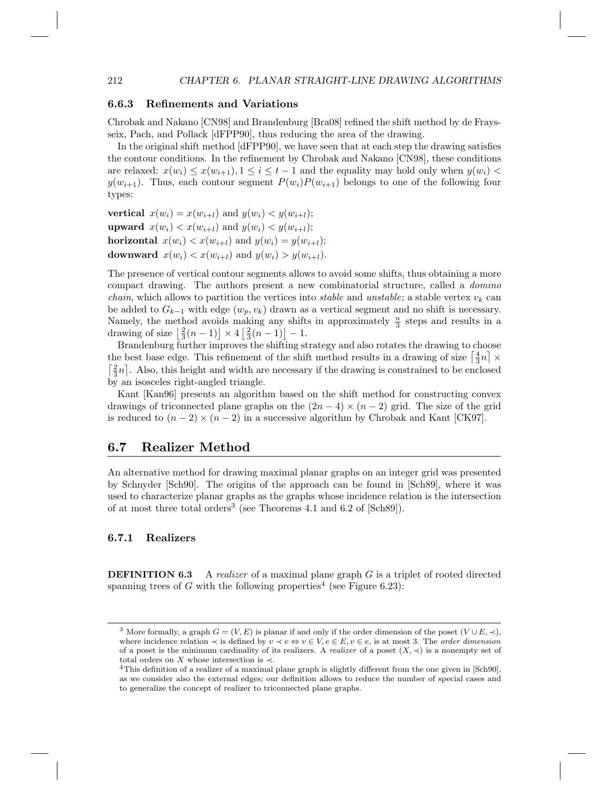#### 6.6.3 Refinements and Variations

Chrobak and Nakano [CN98] and Brandenburg [Bra08] refined the shift method by de Fraysseix, Pach, and Pollack [dFPP90], thus reducing the area of the drawing.

In the original shift method [dFPP90], we have seen that at each step the drawing satisfies the contour conditions. In the refinement by Chrobak and Nakano [CN98], these conditions are relaxed:  $x(w_i) \leq x(w_{i+1}), 1 \leq i \leq t-1$  and the equality may hold only when  $y(w_i)$  $y(w_{i+1})$ . Thus, each contour segment  $P(w_i)P(w_{i+1})$  belongs to one of the following four types:

vertical  $x(w_i) = x(w_{i+1})$  and  $y(w_i) < y(w_{i+1});$ **upward**  $x(w_i) < x(w_{i+l})$  and  $y(w_i) < y(w_{i+l});$ horizontal  $x(w_i) < x(w_{i+l})$  and  $y(w_i) = y(w_{i+l});$ downward  $x(w_i) < x(w_{i+l})$  and  $y(w_i) > y(w_{i+l})$ .

The presence of vertical contour segments allows to avoid some shifts, thus obtaining a more compact drawing. The authors present a new combinatorial structure, called a domino *chain*, which allows to partition the vertices into *stable* and *unstable*; a stable vertex  $v_k$  can be added to  $G_{k-1}$  with edge  $(w_p, v_k)$  drawn as a vertical segment and no shift is necessary. Namely, the method avoids making any shifts in approximately  $\frac{n}{3}$  steps and results in a drawing of size  $\left\lfloor \frac{2}{3}(n-1) \right\rfloor \times 4 \left\lfloor \frac{2}{3}(n-1) \right\rfloor - 1$ .

Brandenburg further improves the shifting strategy and also rotates the drawing to choose the best base edge. This refinement of the shift method results in a drawing of size  $\left\lceil \frac{4}{3}n \right\rceil \times$  $\lceil \frac{2}{3}n \rceil$ . Also, this height and width are necessary if the drawing is constrained to be enclosed by an isosceles right-angled triangle.

Kant [Kan96] presents an algorithm based on the shift method for constructing convex drawings of triconnected plane graphs on the  $(2n-4) \times (n-2)$  grid. The size of the grid is reduced to  $(n-2) \times (n-2)$  in a successive algorithm by Chrobak and Kant [CK97].

#### 6.7 Realizer Method

An alternative method for drawing maximal planar graphs on an integer grid was presented by Schnyder [Sch90]. The origins of the approach can be found in [Sch89], where it was used to characterize planar graphs as the graphs whose incidence relation is the intersection of at most three total orders<sup>3</sup> (see Theorems 4.1 and 6.2 of  $[\text{Sch89}]$ ).

#### 6.7.1 Realizers

**DEFINITION 6.3** A realizer of a maximal plane graph  $G$  is a triplet of rooted directed spanning trees of G with the following properties<sup>4</sup> (see Figure 6.23):

<sup>&</sup>lt;sup>3</sup> More formally, a graph  $G = (V, E)$  is planar if and only if the order dimension of the poset  $(V \cup E, \prec)$ , where incidence relation  $\prec$  is defined by  $v \prec e \Leftrightarrow v \in V, e \in E, v \in e$ , is at most 3. The *order dimension* of a poset is the minimum cardinality of its realizers. A *realizer* of a poset  $(X, \prec)$  is a nonempty set of total orders on X whose intersection is  $\prec$ .

<sup>4</sup>This definition of a realizer of a maximal plane graph is slightly different from the one given in [Sch90], as we consider also the external edges; our definition allows to reduce the number of special cases and to generalize the concept of realizer to triconnected plane graphs.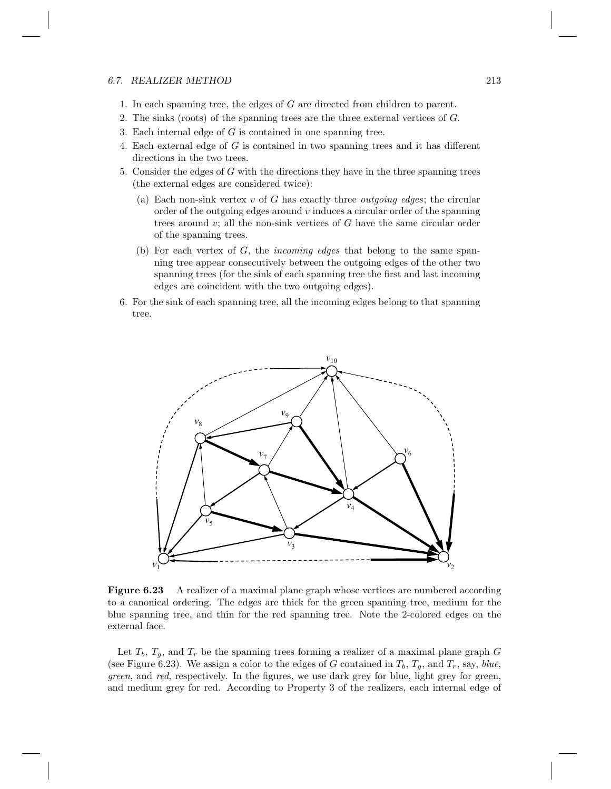#### 6.7. REALIZER METHOD 213

- 1. In each spanning tree, the edges of G are directed from children to parent.
- 2. The sinks (roots) of the spanning trees are the three external vertices of G.
- 3. Each internal edge of  $G$  is contained in one spanning tree.
- 4. Each external edge of G is contained in two spanning trees and it has different directions in the two trees.
- 5. Consider the edges of  $G$  with the directions they have in the three spanning trees (the external edges are considered twice):
	- (a) Each non-sink vertex  $v$  of G has exactly three *outgoing edges*; the circular order of the outgoing edges around  $v$  induces a circular order of the spanning trees around  $v$ ; all the non-sink vertices of  $G$  have the same circular order of the spanning trees.
	- (b) For each vertex of  $G$ , the *incoming edges* that belong to the same spanning tree appear consecutively between the outgoing edges of the other two spanning trees (for the sink of each spanning tree the first and last incoming edges are coincident with the two outgoing edges).
- 6. For the sink of each spanning tree, all the incoming edges belong to that spanning tree.



Figure 6.23 A realizer of a maximal plane graph whose vertices are numbered according to a canonical ordering. The edges are thick for the green spanning tree, medium for the blue spanning tree, and thin for the red spanning tree. Note the 2-colored edges on the external face.

Let  $T_b$ ,  $T_q$ , and  $T_r$  be the spanning trees forming a realizer of a maximal plane graph G (see Figure 6.23). We assign a color to the edges of G contained in  $T_b$ ,  $T_a$ , and  $T_r$ , say, blue, green, and red, respectively. In the figures, we use dark grey for blue, light grey for green, and medium grey for red. According to Property 3 of the realizers, each internal edge of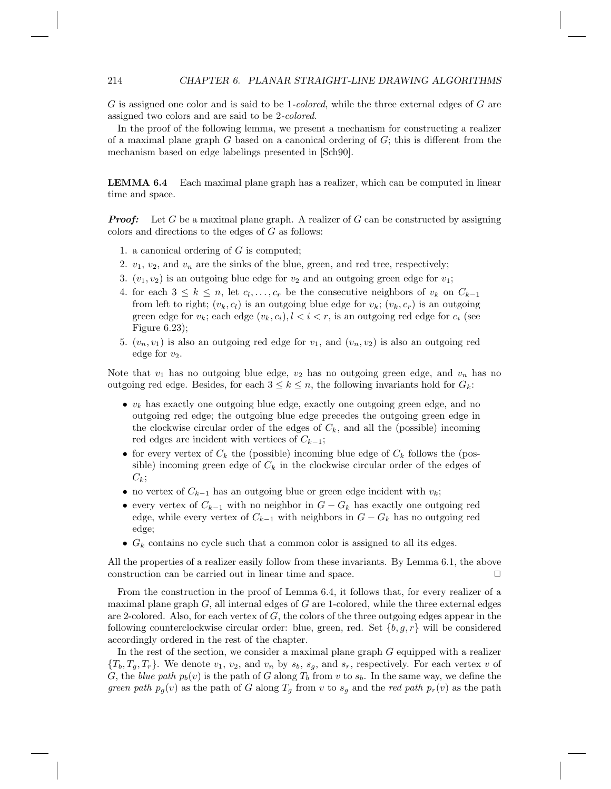G is assigned one color and is said to be 1-colored, while the three external edges of G are assigned two colors and are said to be 2-colored.

In the proof of the following lemma, we present a mechanism for constructing a realizer of a maximal plane graph  $G$  based on a canonical ordering of  $G$ ; this is different from the mechanism based on edge labelings presented in [Sch90].

LEMMA 6.4 Each maximal plane graph has a realizer, which can be computed in linear time and space.

**Proof:** Let G be a maximal plane graph. A realizer of G can be constructed by assigning colors and directions to the edges of G as follows:

- 1. a canonical ordering of  $G$  is computed;
- 2.  $v_1, v_2$ , and  $v_n$  are the sinks of the blue, green, and red tree, respectively;
- 3.  $(v_1, v_2)$  is an outgoing blue edge for  $v_2$  and an outgoing green edge for  $v_1$ ;
- 4. for each  $3 \leq k \leq n$ , let  $c_1, \ldots, c_r$  be the consecutive neighbors of  $v_k$  on  $C_{k-1}$ from left to right;  $(v_k, c_l)$  is an outgoing blue edge for  $v_k$ ;  $(v_k, c_r)$  is an outgoing green edge for  $v_k$ ; each edge  $(v_k, c_i)$ ,  $l < i < r$ , is an outgoing red edge for  $c_i$  (see Figure 6.23);
- 5.  $(v_n, v_1)$  is also an outgoing red edge for  $v_1$ , and  $(v_n, v_2)$  is also an outgoing red edge for  $v_2$ .

Note that  $v_1$  has no outgoing blue edge,  $v_2$  has no outgoing green edge, and  $v_n$  has no outgoing red edge. Besides, for each  $3 \leq k \leq n$ , the following invariants hold for  $G_k$ :

- $v_k$  has exactly one outgoing blue edge, exactly one outgoing green edge, and no outgoing red edge; the outgoing blue edge precedes the outgoing green edge in the clockwise circular order of the edges of  $C_k$ , and all the (possible) incoming red edges are incident with vertices of  $C_{k-1}$ ;
- for every vertex of  $C_k$  the (possible) incoming blue edge of  $C_k$  follows the (possible) incoming green edge of  $C_k$  in the clockwise circular order of the edges of  $C_k$ ;
- no vertex of  $C_{k-1}$  has an outgoing blue or green edge incident with  $v_k$ ;
- every vertex of  $C_{k-1}$  with no neighbor in  $G G_k$  has exactly one outgoing red edge, while every vertex of  $C_{k-1}$  with neighbors in  $G - G_k$  has no outgoing red edge;
- $G_k$  contains no cycle such that a common color is assigned to all its edges.

All the properties of a realizer easily follow from these invariants. By Lemma 6.1, the above construction can be carried out in linear time and space.

From the construction in the proof of Lemma 6.4, it follows that, for every realizer of a maximal plane graph  $G$ , all internal edges of  $G$  are 1-colored, while the three external edges are 2-colored. Also, for each vertex of  $G$ , the colors of the three outgoing edges appear in the following counterclockwise circular order: blue, green, red. Set  $\{b, g, r\}$  will be considered accordingly ordered in the rest of the chapter.

In the rest of the section, we consider a maximal plane graph  $G$  equipped with a realizer  ${T_b, T_a, T_r}$ . We denote  $v_1, v_2$ , and  $v_n$  by  $s_b, s_a$ , and  $s_r$ , respectively. For each vertex v of G, the blue path  $p_b(v)$  is the path of G along  $T_b$  from v to  $s_b$ . In the same way, we define the green path  $p_g(v)$  as the path of G along  $T_g$  from v to  $s_g$  and the red path  $p_r(v)$  as the path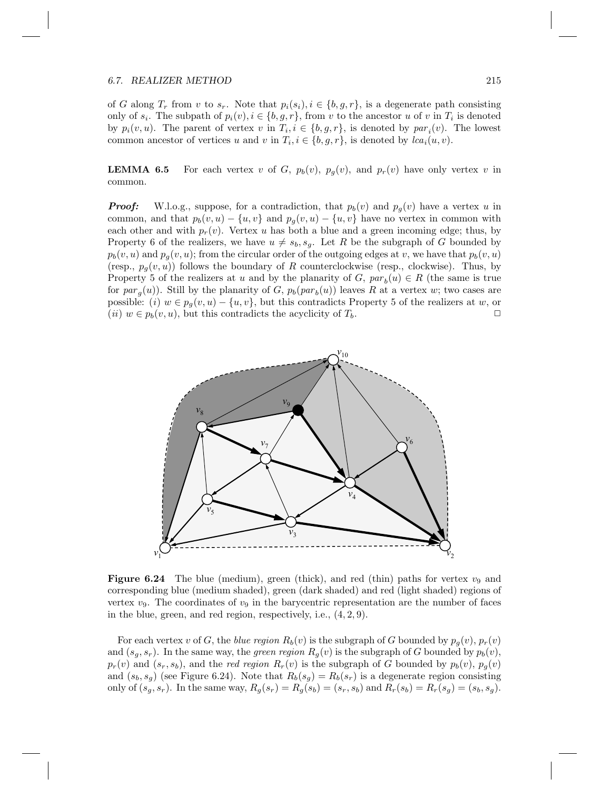#### 6.7. REALIZER METHOD 215

of G along  $T_r$  from v to  $s_r$ . Note that  $p_i(s_i), i \in \{b, g, r\}$ , is a degenerate path consisting only of  $s_i$ . The subpath of  $p_i(v), i \in \{b, g, r\}$ , from v to the ancestor u of v in  $T_i$  is denoted by  $p_i(v, u)$ . The parent of vertex v in  $T_i, i \in \{b, g, r\}$ , is denoted by  $par_i(v)$ . The lowest common ancestor of vertices u and v in  $T_i$ ,  $i \in \{b, g, r\}$ , is denoted by  $lca_i(u, v)$ .

**LEMMA 6.5** For each vertex v of G,  $p_b(v)$ ,  $p_q(v)$ , and  $p_r(v)$  have only vertex v in common.

**Proof:** W.l.o.g., suppose, for a contradiction, that  $p_b(v)$  and  $p_a(v)$  have a vertex u in common, and that  $p_b(v, u) - \{u, v\}$  and  $p_g(v, u) - \{u, v\}$  have no vertex in common with each other and with  $p_r(v)$ . Vertex u has both a blue and a green incoming edge; thus, by Property 6 of the realizers, we have  $u \neq s_b$ ,  $s_g$ . Let R be the subgraph of G bounded by  $p_b(v, u)$  and  $p_g(v, u)$ ; from the circular order of the outgoing edges at v, we have that  $p_b(v, u)$ (resp.,  $p_g(v, u)$ ) follows the boundary of R counterclockwise (resp., clockwise). Thus, by Property 5 of the realizers at u and by the planarity of  $G$ ,  $par_b(u) \in R$  (the same is true for  $par_g(u)$ ). Still by the planarity of G,  $p_b(par_b(u))$  leaves R at a vertex w; two cases are possible: (i)  $w \in p_q(v, u) - \{u, v\}$ , but this contradicts Property 5 of the realizers at w, or (*ii*)  $w \in p_b(v, u)$ , but this contradicts the acyclicity of  $T_b$ .



**Figure 6.24** The blue (medium), green (thick), and red (thin) paths for vertex  $v_9$  and corresponding blue (medium shaded), green (dark shaded) and red (light shaded) regions of vertex  $v_9$ . The coordinates of  $v_9$  in the barycentric representation are the number of faces in the blue, green, and red region, respectively, i.e., (4, 2, 9).

For each vertex v of G, the blue region  $R_b(v)$  is the subgraph of G bounded by  $p_q(v)$ ,  $p_r(v)$ and  $(s_q, s_r)$ . In the same way, the *green region*  $R_q(v)$  is the subgraph of G bounded by  $p_b(v)$ ,  $p_r(v)$  and  $(s_r, s_b)$ , and the red region  $R_r(v)$  is the subgraph of G bounded by  $p_b(v)$ ,  $p_g(v)$ and  $(s_b, s_g)$  (see Figure 6.24). Note that  $R_b(s_g) = R_b(s_r)$  is a degenerate region consisting only of  $(s_g, s_r)$ . In the same way,  $R_g(s_r) = R_g(s_b) = (s_r, s_b)$  and  $R_r(s_b) = R_r(s_g) = (s_b, s_g)$ .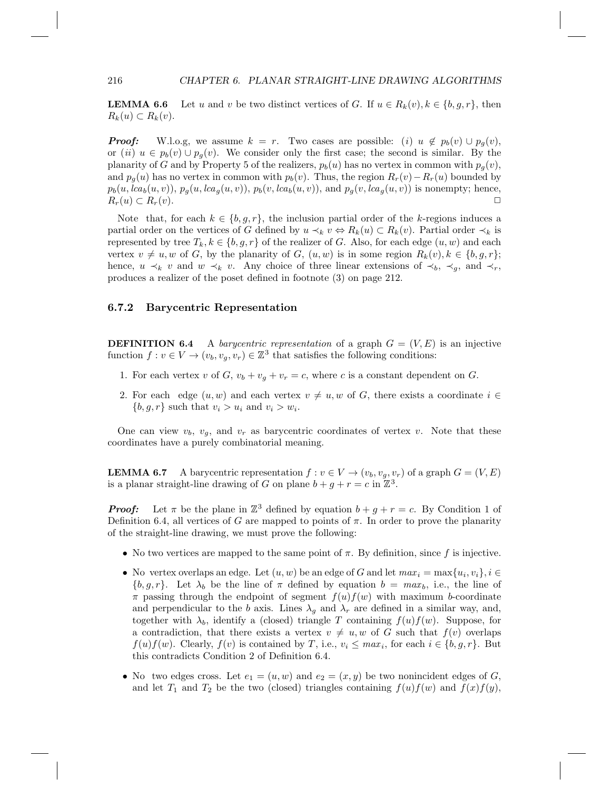**LEMMA 6.6** Let u and v be two distinct vertices of G. If  $u \in R_k(v)$ ,  $k \in \{b, g, r\}$ , then  $R_k(u) \subset R_k(v)$ .

**Proof:** W.l.o.g, we assume  $k = r$ . Two cases are possible: (i)  $u \notin p_b(v) \cup p_a(v)$ , or (ii)  $u \in p_b(v) \cup p_g(v)$ . We consider only the first case; the second is similar. By the planarity of G and by Property 5 of the realizers,  $p_b(u)$  has no vertex in common with  $p_a(v)$ , and  $p_g(u)$  has no vertex in common with  $p_b(v)$ . Thus, the region  $R_r(v) - R_r(u)$  bounded by  $p_b(u, lca_b(u, v)), p_g(u, lca_g(u, v)), p_b(v, lca_b(u, v)),$  and  $p_g(v, lca_g(u, v))$  is nonempty; hence,  $R_r(u) \subset R_r(v)$ .

Note that, for each  $k \in \{b, g, r\}$ , the inclusion partial order of the k-regions induces a partial order on the vertices of G defined by  $u \prec_k v \Leftrightarrow R_k(u) \subset R_k(v)$ . Partial order  $\prec_k$  is represented by tree  $T_k, k \in \{b, g, r\}$  of the realizer of G. Also, for each edge  $(u, w)$  and each vertex  $v \neq u, w$  of G, by the planarity of G,  $(u, w)$  is in some region  $R_k(v), k \in \{b, g, r\};$ hence,  $u \prec_k v$  and  $w \prec_k v$ . Any choice of three linear extensions of  $\prec_b, \prec_g$ , and  $\prec_r$ , produces a realizer of the poset defined in footnote (3) on page 212.

#### 6.7.2 Barycentric Representation

**DEFINITION 6.4** A *barycentric representation* of a graph  $G = (V, E)$  is an injective function  $f: v \in V \to (v_b, v_g, v_r) \in \mathbb{Z}^3$  that satisfies the following conditions:

- 1. For each vertex v of  $G$ ,  $v_b + v_q + v_r = c$ , where c is a constant dependent on  $G$ .
- 2. For each edge  $(u, w)$  and each vertex  $v \neq u, w$  of G, there exists a coordinate  $i \in$  $\{b, g, r\}$  such that  $v_i > u_i$  and  $v_i > w_i$ .

One can view  $v_b$ ,  $v_g$ , and  $v_r$  as barycentric coordinates of vertex v. Note that these coordinates have a purely combinatorial meaning.

**LEMMA 6.7** A barycentric representation  $f: v \in V \to (v_b, v_g, v_r)$  of a graph  $G = (V, E)$ is a planar straight-line drawing of G on plane  $b + g + r = c$  in  $\mathbb{Z}^3$ .

**Proof:** Let  $\pi$  be the plane in  $\mathbb{Z}^3$  defined by equation  $b + g + r = c$ . By Condition 1 of Definition 6.4, all vertices of G are mapped to points of  $\pi$ . In order to prove the planarity of the straight-line drawing, we must prove the following:

- No two vertices are mapped to the same point of  $\pi$ . By definition, since f is injective.
- No vertex overlaps an edge. Let  $(u, w)$  be an edge of G and let  $max_i = \max\{u_i, v_i\}, i \in$  ${b, g, r}$ . Let  $\lambda_b$  be the line of  $\pi$  defined by equation  $b = max_b$ , i.e., the line of  $\pi$  passing through the endpoint of segment  $f(u)f(w)$  with maximum b-coordinate and perpendicular to the b axis. Lines  $\lambda_q$  and  $\lambda_r$  are defined in a similar way, and, together with  $\lambda_b$ , identify a (closed) triangle T containing  $f(u)f(w)$ . Suppose, for a contradiction, that there exists a vertex  $v \neq u, w$  of G such that  $f(v)$  overlaps  $f(u) f(w)$ . Clearly,  $f(v)$  is contained by T, i.e.,  $v_i \leq max_i$ , for each  $i \in \{b, g, r\}$ . But this contradicts Condition 2 of Definition 6.4.
- No two edges cross. Let  $e_1 = (u, w)$  and  $e_2 = (x, y)$  be two nonincident edges of G, and let  $T_1$  and  $T_2$  be the two (closed) triangles containing  $f(u)f(w)$  and  $f(x)f(y)$ ,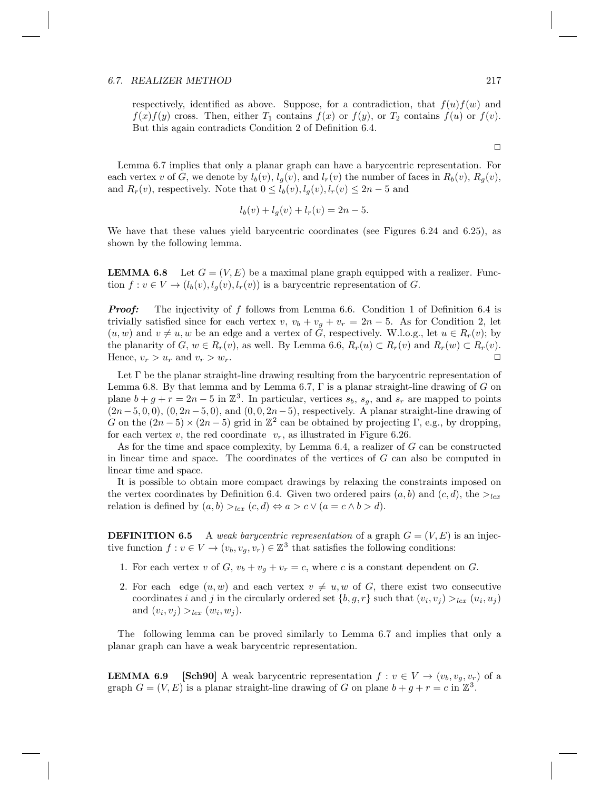#### 6.7. REALIZER METHOD 217

respectively, identified as above. Suppose, for a contradiction, that  $f(u)f(w)$  and  $f(x)f(y)$  cross. Then, either  $T_1$  contains  $f(x)$  or  $f(y)$ , or  $T_2$  contains  $f(u)$  or  $f(v)$ . But this again contradicts Condition 2 of Definition 6.4.

Lemma 6.7 implies that only a planar graph can have a barycentric representation. For each vertex v of G, we denote by  $l_b(v)$ ,  $l_a(v)$ , and  $l_r(v)$  the number of faces in  $R_b(v)$ ,  $R_a(v)$ , and  $R_r(v)$ , respectively. Note that  $0 \leq l_b(v)$ ,  $l_q(v)$ ,  $l_r(v) \leq 2n-5$  and

$$
l_b(v) + l_g(v) + l_r(v) = 2n - 5.
$$

We have that these values yield barycentric coordinates (see Figures 6.24 and 6.25), as shown by the following lemma.

**LEMMA 6.8** Let  $G = (V, E)$  be a maximal plane graph equipped with a realizer. Function  $f: v \in V \to (l_b(v), l_q(v), l_r(v))$  is a barycentric representation of G.

**Proof:** The injectivity of f follows from Lemma 6.6. Condition 1 of Definition 6.4 is trivially satisfied since for each vertex v,  $v_b + v_g + v_r = 2n - 5$ . As for Condition 2, let  $(u, w)$  and  $v \neq u, w$  be an edge and a vertex of G, respectively. W.l.o.g., let  $u \in R_r(v)$ ; by the planarity of G,  $w \in R_r(v)$ , as well. By Lemma 6.6,  $R_r(u) \subset R_r(v)$  and  $R_r(w) \subset R_r(v)$ . Hence,  $v_r > u_r$  and  $v_r > w_r$ .

Let  $\Gamma$  be the planar straight-line drawing resulting from the barycentric representation of Lemma 6.8. By that lemma and by Lemma 6.7,  $\Gamma$  is a planar straight-line drawing of G on plane  $b + g + r = 2n - 5$  in  $\mathbb{Z}^3$ . In particular, vertices  $s_b$ ,  $s_g$ , and  $s_r$  are mapped to points  $(2n-5, 0, 0), (0, 2n-5, 0),$  and  $(0, 0, 2n-5)$ , respectively. A planar straight-line drawing of G on the  $(2n-5) \times (2n-5)$  grid in  $\mathbb{Z}^2$  can be obtained by projecting  $\Gamma$ , e.g., by dropping, for each vertex v, the red coordinate  $v_r$ , as illustrated in Figure 6.26.

As for the time and space complexity, by Lemma 6.4, a realizer of G can be constructed in linear time and space. The coordinates of the vertices of G can also be computed in linear time and space.

It is possible to obtain more compact drawings by relaxing the constraints imposed on the vertex coordinates by Definition 6.4. Given two ordered pairs  $(a, b)$  and  $(c, d)$ , the  $>_{lex}$ relation is defined by  $(a, b) >_{lex} (c, d) \Leftrightarrow a > c \vee (a = c \wedge b > d).$ 

**DEFINITION 6.5** A weak barycentric representation of a graph  $G = (V, E)$  is an injective function  $f: v \in V \to (v_b, v_g, v_r) \in \mathbb{Z}^3$  that satisfies the following conditions:

- 1. For each vertex v of G,  $v_b + v_g + v_r = c$ , where c is a constant dependent on G.
- 2. For each edge  $(u, w)$  and each vertex  $v \neq u, w$  of G, there exist two consecutive coordinates i and j in the circularly ordered set  $\{b, g, r\}$  such that  $(v_i, v_j) >_{lex} (u_i, u_j)$ and  $(v_i, v_j) >_{lex} (w_i, w_j)$ .

The following lemma can be proved similarly to Lemma 6.7 and implies that only a planar graph can have a weak barycentric representation.

**LEMMA 6.9** [Sch90] A weak barycentric representation  $f: v \in V \rightarrow (v_b, v_q, v_r)$  of a graph  $G = (V, E)$  is a planar straight-line drawing of G on plane  $b + g + r = c$  in  $\mathbb{Z}^3$ .

 $\Box$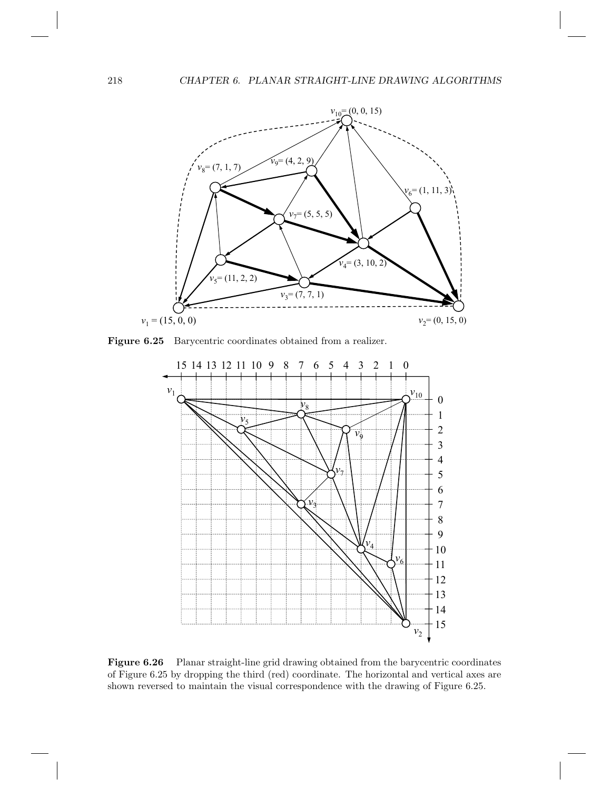

Figure 6.25 Barycentric coordinates obtained from a realizer.



Figure 6.26 Planar straight-line grid drawing obtained from the barycentric coordinates of Figure 6.25 by dropping the third (red) coordinate. The horizontal and vertical axes are shown reversed to maintain the visual correspondence with the drawing of Figure 6.25.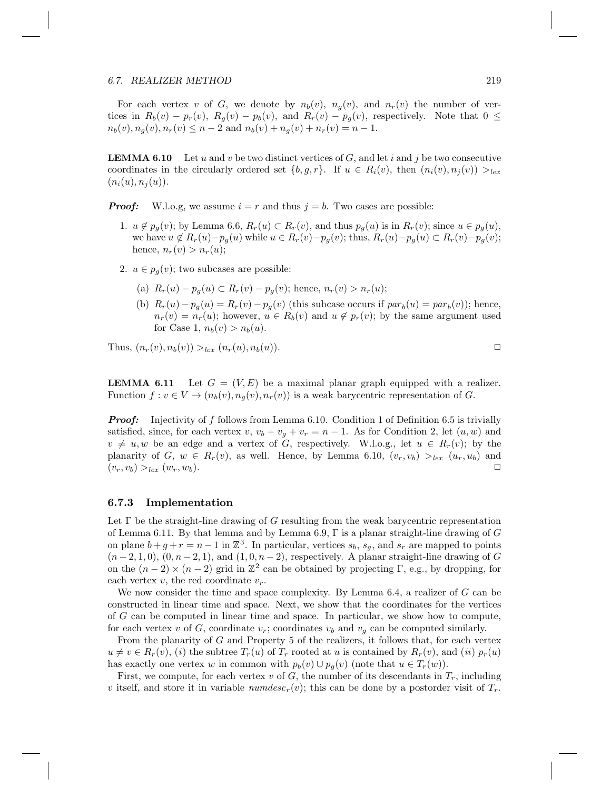#### 6.7. REALIZER METHOD 219

For each vertex v of G, we denote by  $n_b(v)$ ,  $n_a(v)$ , and  $n_r(v)$  the number of vertices in  $R_b(v) - p_r(v)$ ,  $R_g(v) - p_b(v)$ , and  $R_r(v) - p_g(v)$ , respectively. Note that  $0 \leq$  $n_b(v), n_g(v), n_r(v) \leq n-2$  and  $n_b(v) + n_g(v) + n_r(v) = n-1$ .

**LEMMA 6.10** Let u and v be two distinct vertices of G, and let i and j be two consecutive coordinates in the circularly ordered set  $\{b, g, r\}$ . If  $u \in R_i(v)$ , then  $(n_i(v), n_i(v)) >_{lex}$  $(n_i(u), n_i(u)).$ 

**Proof:** W.l.o.g, we assume  $i = r$  and thus  $j = b$ . Two cases are possible:

- 1.  $u \notin p_q(v)$ ; by Lemma 6.6,  $R_r(u) \subset R_r(v)$ , and thus  $p_q(u)$  is in  $R_r(v)$ ; since  $u \in p_q(u)$ , we have  $u \notin R_r(u)-p_q(u)$  while  $u \in R_r(v)-p_q(v)$ ; thus,  $R_r(u)-p_q(u) \subset R_r(v)-p_q(v)$ ; hence,  $n_r(v) > n_r(u);$
- 2.  $u \in p_q(v)$ ; two subcases are possible:
	- (a)  $R_r(u) p_q(u) \subset R_r(v) p_q(v)$ ; hence,  $n_r(v) > n_r(u)$ ;
	- (b)  $R_r(u) p_g(u) = R_r(v) p_g(v)$  (this subcase occurs if  $par_b(u) = par_b(v)$ ); hence,  $n_r(v) = n_r(u)$ ; however,  $u \in R_b(v)$  and  $u \notin p_r(v)$ ; by the same argument used for Case 1,  $n_b(v) > n_b(u)$ .

Thus,  $(n_r(v), n_b(v)) >_{lex} (n_r(u), n_b(u)).$ 

**LEMMA 6.11** Let  $G = (V, E)$  be a maximal planar graph equipped with a realizer. Function  $f: v \in V \to (n_b(v), n_g(v), n_r(v))$  is a weak barycentric representation of G.

**Proof:** Injectivity of f follows from Lemma 6.10. Condition 1 of Definition 6.5 is trivially satisfied, since, for each vertex v,  $v_b + v_g + v_r = n - 1$ . As for Condition 2, let  $(u, w)$  and  $v \neq u, w$  be an edge and a vertex of G, respectively. W.l.o.g., let  $u \in R_r(v)$ ; by the planarity of G,  $w \in R_r(v)$ , as well. Hence, by Lemma 6.10,  $(v_r, v_b) >_{lex} (u_r, u_b)$  and  $(v_r, v_b) >_{lex} (w_r, w_b).$ 

#### 6.7.3 Implementation

Let  $\Gamma$  be the straight-line drawing of G resulting from the weak barycentric representation of Lemma 6.11. By that lemma and by Lemma 6.9,  $\Gamma$  is a planar straight-line drawing of G on plane  $b + g + r = n - 1$  in  $\mathbb{Z}^3$ . In particular, vertices  $s_b$ ,  $s_g$ , and  $s_r$  are mapped to points  $(n-2,1,0), (0, n-2,1),$  and  $(1,0, n-2)$ , respectively. A planar straight-line drawing of G on the  $(n-2) \times (n-2)$  grid in  $\mathbb{Z}^2$  can be obtained by projecting  $\Gamma$ , e.g., by dropping, for each vertex  $v$ , the red coordinate  $v_r$ .

We now consider the time and space complexity. By Lemma  $6.4$ , a realizer of  $G$  can be constructed in linear time and space. Next, we show that the coordinates for the vertices of G can be computed in linear time and space. In particular, we show how to compute, for each vertex v of G, coordinate  $v_r$ ; coordinates  $v_b$  and  $v_g$  can be computed similarly.

From the planarity of G and Property 5 of the realizers, it follows that, for each vertex  $u \neq v \in R_r(v)$ , (i) the subtree  $T_r(u)$  of  $T_r$  rooted at u is contained by  $R_r(v)$ , and (ii)  $p_r(u)$ has exactly one vertex w in common with  $p_b(v) \cup p_a(v)$  (note that  $u \in T_r(w)$ ).

First, we compute, for each vertex v of G, the number of its descendants in  $T_r$ , including v itself, and store it in variable numdesc<sub>r</sub>(v); this can be done by a postorder visit of  $T_r$ .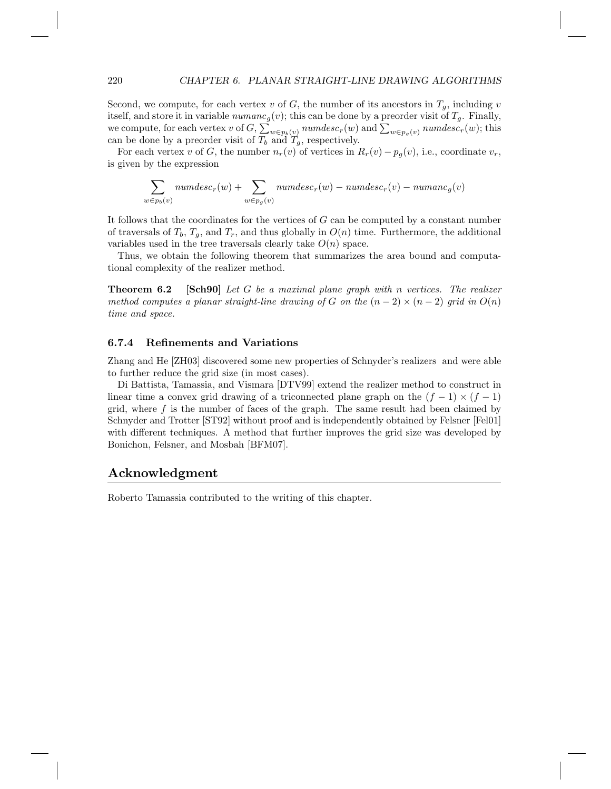Second, we compute, for each vertex v of G, the number of its ancestors in  $T_q$ , including v itself, and store it in variable  $numanc_g(v)$ ; this can be done by a preorder visit of  $T_g$ . Finally, we compute, for each vertex v of  $G$ ,  $\sum_{w \in p_b(v)}$  numdesc<sub>r</sub>(w) and  $\sum_{w \in p_g(v)}$  numdesc<sub>r</sub>(w); this can be done by a preorder visit of  $T_b$  and  $T_g$ , respectively.

For each vertex v of G, the number  $n_r(v)$  of vertices in  $R_r(v) - p_g(v)$ , i.e., coordinate  $v_r$ , is given by the expression

$$
\sum_{w \in p_b(v)} numdesc_r(w) + \sum_{w \in p_g(v)} numdesc_r(w) - numdesc_r(v) - numanc_g(v)
$$

It follows that the coordinates for the vertices of  $G$  can be computed by a constant number of traversals of  $T_b$ ,  $T_g$ , and  $T_r$ , and thus globally in  $O(n)$  time. Furthermore, the additional variables used in the tree traversals clearly take  $O(n)$  space.

Thus, we obtain the following theorem that summarizes the area bound and computational complexity of the realizer method.

**Theorem 6.2** [Sch90] Let G be a maximal plane graph with n vertices. The realizer method computes a planar straight-line drawing of G on the  $(n-2) \times (n-2)$  grid in  $O(n)$ time and space.

#### 6.7.4 Refinements and Variations

Zhang and He [ZH03] discovered some new properties of Schnyder's realizers and were able to further reduce the grid size (in most cases).

Di Battista, Tamassia, and Vismara [DTV99] extend the realizer method to construct in linear time a convex grid drawing of a triconnected plane graph on the  $(f - 1) \times (f - 1)$ grid, where  $f$  is the number of faces of the graph. The same result had been claimed by Schnyder and Trotter [ST92] without proof and is independently obtained by Felsner [Fel01] with different techniques. A method that further improves the grid size was developed by Bonichon, Felsner, and Mosbah [BFM07].

#### Acknowledgment

Roberto Tamassia contributed to the writing of this chapter.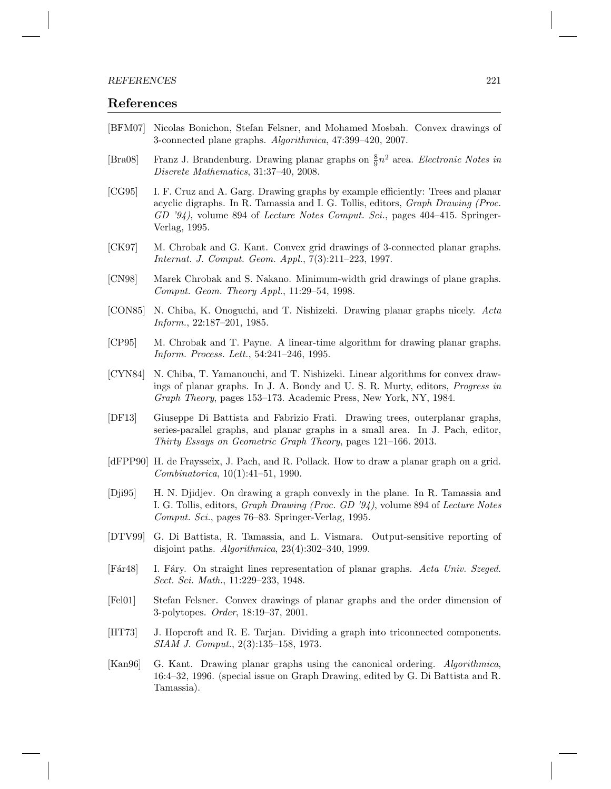#### References

- [BFM07] Nicolas Bonichon, Stefan Felsner, and Mohamed Mosbah. Convex drawings of 3-connected plane graphs. Algorithmica, 47:399–420, 2007.
- [Bra08] Franz J. Brandenburg. Drawing planar graphs on  $\frac{8}{9}n^2$  area. Electronic Notes in Discrete Mathematics, 31:37–40, 2008.
- [CG95] I. F. Cruz and A. Garg. Drawing graphs by example efficiently: Trees and planar acyclic digraphs. In R. Tamassia and I. G. Tollis, editors, Graph Drawing (Proc. GD '94), volume 894 of Lecture Notes Comput. Sci., pages 404–415. Springer-Verlag, 1995.
- [CK97] M. Chrobak and G. Kant. Convex grid drawings of 3-connected planar graphs. Internat. J. Comput. Geom. Appl., 7(3):211–223, 1997.
- [CN98] Marek Chrobak and S. Nakano. Minimum-width grid drawings of plane graphs. Comput. Geom. Theory Appl., 11:29–54, 1998.
- [CON85] N. Chiba, K. Onoguchi, and T. Nishizeki. Drawing planar graphs nicely. Acta Inform., 22:187–201, 1985.
- [CP95] M. Chrobak and T. Payne. A linear-time algorithm for drawing planar graphs. Inform. Process. Lett., 54:241–246, 1995.
- [CYN84] N. Chiba, T. Yamanouchi, and T. Nishizeki. Linear algorithms for convex drawings of planar graphs. In J. A. Bondy and U. S. R. Murty, editors, Progress in Graph Theory, pages 153–173. Academic Press, New York, NY, 1984.
- [DF13] Giuseppe Di Battista and Fabrizio Frati. Drawing trees, outerplanar graphs, series-parallel graphs, and planar graphs in a small area. In J. Pach, editor, Thirty Essays on Geometric Graph Theory, pages 121–166. 2013.
- [dFPP90] H. de Fraysseix, J. Pach, and R. Pollack. How to draw a planar graph on a grid. Combinatorica, 10(1):41–51, 1990.
- [Dji95] H. N. Djidjev. On drawing a graph convexly in the plane. In R. Tamassia and I. G. Tollis, editors, Graph Drawing (Proc. GD '94), volume 894 of Lecture Notes Comput. Sci., pages 76–83. Springer-Verlag, 1995.
- [DTV99] G. Di Battista, R. Tamassia, and L. Vismara. Output-sensitive reporting of disjoint paths. Algorithmica, 23(4):302–340, 1999.
- [Fár48] I. Fáry. On straight lines representation of planar graphs. Acta Univ. Szeged. Sect. Sci. Math., 11:229–233, 1948.
- [Fel01] Stefan Felsner. Convex drawings of planar graphs and the order dimension of 3-polytopes. Order, 18:19–37, 2001.
- [HT73] J. Hopcroft and R. E. Tarjan. Dividing a graph into triconnected components. SIAM J. Comput., 2(3):135–158, 1973.
- [Kan96] G. Kant. Drawing planar graphs using the canonical ordering. Algorithmica, 16:4–32, 1996. (special issue on Graph Drawing, edited by G. Di Battista and R. Tamassia).